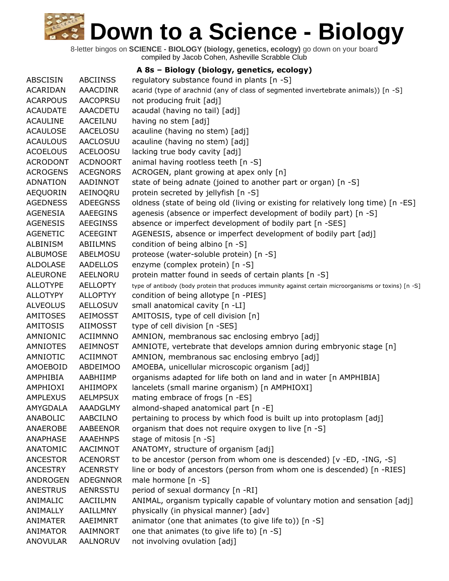8-letter bingos on **SCIENCE - BIOLOGY (biology, genetics, ecology)** go down on your board compiled by Jacob Cohen, Asheville Scrabble Club

#### **A 8s – Biology (biology, genetics, ecology)**

| <b>ABSCISIN</b> | <b>ABCIINSS</b> | regulatory substance found in plants [n -S]                                                            |
|-----------------|-----------------|--------------------------------------------------------------------------------------------------------|
| <b>ACARIDAN</b> | AAACDINR        | acarid (type of arachnid (any of class of segmented invertebrate animals)) [n -S]                      |
| <b>ACARPOUS</b> | <b>AACOPRSU</b> | not producing fruit [adj]                                                                              |
| <b>ACAUDATE</b> | <b>AAACDETU</b> | acaudal (having no tail) [adj]                                                                         |
| <b>ACAULINE</b> | AACEILNU        | having no stem [adj]                                                                                   |
| <b>ACAULOSE</b> | AACELOSU        | acauline (having no stem) [adj]                                                                        |
| <b>ACAULOUS</b> | <b>AACLOSUU</b> | acauline (having no stem) [adj]                                                                        |
| <b>ACOELOUS</b> | <b>ACELOOSU</b> | lacking true body cavity [adj]                                                                         |
| <b>ACRODONT</b> | <b>ACDNOORT</b> | animal having rootless teeth [n -S]                                                                    |
| <b>ACROGENS</b> | <b>ACEGNORS</b> | ACROGEN, plant growing at apex only [n]                                                                |
| ADNATION        | AADINNOT        | state of being adnate (joined to another part or organ) [n -S]                                         |
| <b>AEQUORIN</b> | AEINOQRU        | protein secreted by jellyfish [n -S]                                                                   |
| <b>AGEDNESS</b> | <b>ADEEGNSS</b> | oldness (state of being old (living or existing for relatively long time) [n -ES]                      |
| AGENESIA        | AAEEGINS        | agenesis (absence or imperfect development of bodily part) [n -S]                                      |
| <b>AGENESIS</b> | <b>AEEGINSS</b> | absence or imperfect development of bodily part [n -SES]                                               |
| <b>AGENETIC</b> | <b>ACEEGINT</b> | AGENESIS, absence or imperfect development of bodily part [adj]                                        |
| ALBINISM        | <b>ABIILMNS</b> | condition of being albino [n -S]                                                                       |
| <b>ALBUMOSE</b> | ABELMOSU        | proteose (water-soluble protein) [n -S]                                                                |
| <b>ALDOLASE</b> | <b>AADELLOS</b> | enzyme (complex protein) [n -S]                                                                        |
| <b>ALEURONE</b> | AEELNORU        | protein matter found in seeds of certain plants [n -S]                                                 |
| <b>ALLOTYPE</b> | <b>AELLOPTY</b> | type of antibody (body protein that produces immunity against certain microorganisms or toxins) [n -S] |
| <b>ALLOTYPY</b> | <b>ALLOPTYY</b> | condition of being allotype [n -PIES]                                                                  |
| <b>ALVEOLUS</b> | <b>AELLOSUV</b> | small anatomical cavity [n -LI]                                                                        |
| <b>AMITOSES</b> | <b>AEIMOSST</b> | AMITOSIS, type of cell division [n]                                                                    |
| <b>AMITOSIS</b> | AIIMOSST        | type of cell division [n -SES]                                                                         |
| AMNIONIC        | <b>ACIIMNNO</b> | AMNION, membranous sac enclosing embryo [adj]                                                          |
| <b>AMNIOTES</b> | <b>AEIMNOST</b> | AMNIOTE, vertebrate that develops amnion during embryonic stage [n]                                    |
| AMNIOTIC        | <b>ACIIMNOT</b> | AMNION, membranous sac enclosing embryo [adj]                                                          |
| AMOEBOID        | ABDEIMOO        | AMOEBA, unicellular microscopic organism [adj]                                                         |
| AMPHIBIA        | AABHIIMP        | organisms adapted for life both on land and in water [n AMPHIBIA]                                      |
| AMPHIOXI        | <b>AHIIMOPX</b> | lancelets (small marine organism) [n AMPHIOXI]                                                         |
| <b>AMPLEXUS</b> | <b>AELMPSUX</b> | mating embrace of frogs [n -ES]                                                                        |
| AMYGDALA        | <b>AAADGLMY</b> | almond-shaped anatomical part [n -E]                                                                   |
| ANABOLIC        | AABCILNO        | pertaining to process by which food is built up into protoplasm [adj]                                  |
| ANAEROBE        | AABEENOR        | organism that does not require oxygen to live [n -S]                                                   |
| <b>ANAPHASE</b> | <b>AAAEHNPS</b> | stage of mitosis [n -S]                                                                                |
| <b>ANATOMIC</b> | AACIMNOT        | ANATOMY, structure of organism [adj]                                                                   |
| <b>ANCESTOR</b> | <b>ACENORST</b> | to be ancestor (person from whom one is descended) [v -ED, -ING, -S]                                   |
| <b>ANCESTRY</b> | <b>ACENRSTY</b> | line or body of ancestors (person from whom one is descended) [n -RIES]                                |
| <b>ANDROGEN</b> | <b>ADEGNNOR</b> | male hormone [n -S]                                                                                    |
| <b>ANESTRUS</b> | <b>AENRSSTU</b> | period of sexual dormancy [n -RI]                                                                      |
| ANIMALIC        | AACIILMN        | ANIMAL, organism typically capable of voluntary motion and sensation [adj]                             |
| ANIMALLY        | AAILLMNY        | physically (in physical manner) [adv]                                                                  |
| ANIMATER        | AAEIMNRT        | animator (one that animates (to give life to)) [n -S]                                                  |
| ANIMATOR        | AAIMNORT        | one that animates (to give life to) [n -S]                                                             |
| <b>ANOVULAR</b> | AALNORUV        | not involving ovulation [adj]                                                                          |
|                 |                 |                                                                                                        |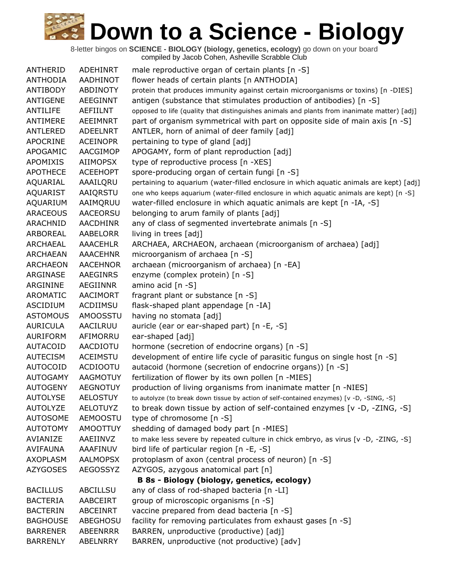| ANTHERID        | ADEHINRT        | male reproductive organ of certain plants [n -S]                                            |
|-----------------|-----------------|---------------------------------------------------------------------------------------------|
| <b>ANTHODIA</b> | <b>AADHINOT</b> | flower heads of certain plants [n ANTHODIA]                                                 |
| ANTIBODY        | <b>ABDINOTY</b> | protein that produces immunity against certain microorganisms or toxins) [n -DIES]          |
| <b>ANTIGENE</b> | <b>AEEGINNT</b> | antigen (substance that stimulates production of antibodies) [n -S]                         |
| <b>ANTILIFE</b> | <b>AEFIILNT</b> | opposed to life (quality that distinguishes animals and plants from inanimate matter) [adj] |
| ANTIMERE        | AEEIMNRT        | part of organism symmetrical with part on opposite side of main axis [n -S]                 |
| <b>ANTLERED</b> | <b>ADEELNRT</b> | ANTLER, horn of animal of deer family [adj]                                                 |
| <b>APOCRINE</b> | <b>ACEINOPR</b> | pertaining to type of gland [adj]                                                           |
| APOGAMIC        | AACGIMOP        | APOGAMY, form of plant reproduction [adj]                                                   |
| APOMIXIS        | <b>AIIMOPSX</b> | type of reproductive process [n -XES]                                                       |
| <b>APOTHECE</b> | <b>ACEEHOPT</b> | spore-producing organ of certain fungi [n -S]                                               |
| AQUARIAL        | AAAILQRU        | pertaining to aquarium (water-filled enclosure in which aquatic animals are kept) [adj]     |
| <b>AQUARIST</b> | AAIQRSTU        | one who keeps aquarium (water-filled enclosure in which aquatic animals are kept) [n -S]    |
| AQUARIUM        | AAIMQRUU        | water-filled enclosure in which aquatic animals are kept [n -IA, -S]                        |
| <b>ARACEOUS</b> | <b>AACEORSU</b> | belonging to arum family of plants [adj]                                                    |
| ARACHNID        | <b>AACDHINR</b> | any of class of segmented invertebrate animals [n -S]                                       |
| ARBOREAL        | <b>AABELORR</b> | living in trees [adj]                                                                       |
| ARCHAEAL        | <b>AAACEHLR</b> | ARCHAEA, ARCHAEON, archaean (microorganism of archaea) [adj]                                |
| <b>ARCHAEAN</b> | <b>AAACEHNR</b> | microorganism of archaea [n -S]                                                             |
| <b>ARCHAEON</b> | <b>AACEHNOR</b> | archaean (microorganism of archaea) [n -EA]                                                 |
| ARGINASE        | AAEGINRS        | enzyme (complex protein) [n -S]                                                             |
| ARGININE        | AEGIINNR        | amino acid [n -S]                                                                           |
| <b>AROMATIC</b> | <b>AACIMORT</b> | fragrant plant or substance [n -S]                                                          |
| ASCIDIUM        | ACDIIMSU        | flask-shaped plant appendage [n -IA]                                                        |
| <b>ASTOMOUS</b> | <b>AMOOSSTU</b> | having no stomata [adj]                                                                     |
| <b>AURICULA</b> | AACILRUU        | auricle (ear or ear-shaped part) [n -E, -S]                                                 |
| <b>AURIFORM</b> | AFIMORRU        | ear-shaped [adj]                                                                            |
| <b>AUTACOID</b> | <b>AACDIOTU</b> | hormone (secretion of endocrine organs) [n -S]                                              |
| <b>AUTECISM</b> | <b>ACEIMSTU</b> | development of entire life cycle of parasitic fungus on single host [n -S]                  |
| <b>AUTOCOID</b> | <b>ACDIOOTU</b> | autacoid (hormone (secretion of endocrine organs)) [n -S]                                   |
| <b>AUTOGAMY</b> | <b>AAGMOTUY</b> | fertilization of flower by its own pollen [n -MIES]                                         |
| <b>AUTOGENY</b> | <b>AEGNOTUY</b> | production of living organisms from inanimate matter [n -NIES]                              |
| <b>AUTOLYSE</b> | <b>AELOSTUY</b> | to autolyze (to break down tissue by action of self-contained enzymes) [v -D, -SING, -S]    |
| <b>AUTOLYZE</b> | <b>AELOTUYZ</b> | to break down tissue by action of self-contained enzymes [v -D, -ZING, -S]                  |
| <b>AUTOSOME</b> | <b>AEMOOSTU</b> | type of chromosome [n -S]                                                                   |
| <b>AUTOTOMY</b> | <b>AMOOTTUY</b> | shedding of damaged body part [n -MIES]                                                     |
| AVIANIZE        | AAEIINVZ        | to make less severe by repeated culture in chick embryo, as virus [v -D, -ZING, -S]         |
| <b>AVIFAUNA</b> | AAAFINUV        | bird life of particular region [n -E, -S]                                                   |
| <b>AXOPLASM</b> | <b>AALMOPSX</b> | protoplasm of axon (central process of neuron) [n -S]                                       |
| <b>AZYGOSES</b> | AEGOSSYZ        | AZYGOS, azygous anatomical part [n]                                                         |
|                 |                 | B 8s - Biology (biology, genetics, ecology)                                                 |
| <b>BACILLUS</b> | <b>ABCILLSU</b> | any of class of rod-shaped bacteria [n -LI]                                                 |
| <b>BACTERIA</b> | <b>AABCEIRT</b> | group of microscopic organisms [n -S]                                                       |
| <b>BACTERIN</b> | ABCEINRT        | vaccine prepared from dead bacteria [n -S]                                                  |
| <b>BAGHOUSE</b> | ABEGHOSU        | facility for removing particulates from exhaust gases [n -S]                                |
| <b>BARRENER</b> | <b>ABEENRRR</b> | BARREN, unproductive (productive) [adj]                                                     |
| <b>BARRENLY</b> | ABELNRRY        | BARREN, unproductive (not productive) [adv]                                                 |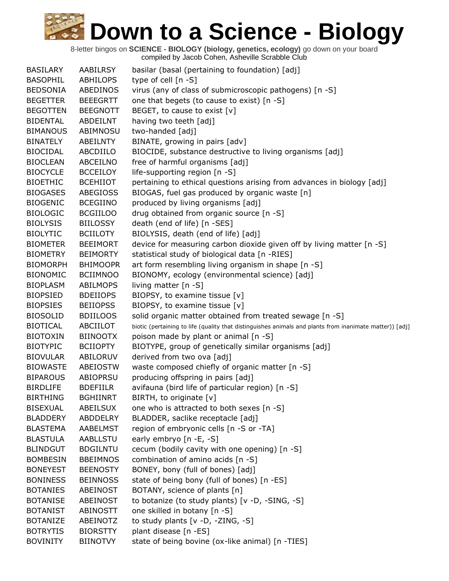| <b>BASILARY</b> | <b>AABILRSY</b> | basilar (basal (pertaining to foundation) [adj]                                                         |
|-----------------|-----------------|---------------------------------------------------------------------------------------------------------|
| <b>BASOPHIL</b> | <b>ABHILOPS</b> | type of cell [n -S]                                                                                     |
| <b>BEDSONIA</b> | ABEDINOS        | virus (any of class of submicroscopic pathogens) [n -S]                                                 |
| <b>BEGETTER</b> | <b>BEEEGRTT</b> | one that begets (to cause to exist) [n -S]                                                              |
| <b>BEGOTTEN</b> | <b>BEEGNOTT</b> | BEGET, to cause to exist [v]                                                                            |
| <b>BIDENTAL</b> | ABDEILNT        | having two teeth [adj]                                                                                  |
| <b>BIMANOUS</b> | ABIMNOSU        | two-handed [adj]                                                                                        |
| <b>BINATELY</b> | <b>ABEILNTY</b> | BINATE, growing in pairs [adv]                                                                          |
| <b>BIOCIDAL</b> | ABCDIILO        | BIOCIDE, substance destructive to living organisms [adj]                                                |
| <b>BIOCLEAN</b> | ABCEILNO        | free of harmful organisms [adj]                                                                         |
| <b>BIOCYCLE</b> | <b>BCCEILOY</b> | life-supporting region [n -S]                                                                           |
| <b>BIOETHIC</b> | <b>BCEHIIOT</b> | pertaining to ethical questions arising from advances in biology [adj]                                  |
| <b>BIOGASES</b> | ABEGIOSS        | BIOGAS, fuel gas produced by organic waste [n]                                                          |
| <b>BIOGENIC</b> | <b>BCEGIINO</b> | produced by living organisms [adj]                                                                      |
| <b>BIOLOGIC</b> | <b>BCGIILOO</b> | drug obtained from organic source [n -S]                                                                |
| <b>BIOLYSIS</b> | <b>BIILOSSY</b> | death (end of life) [n -SES]                                                                            |
| <b>BIOLYTIC</b> | <b>BCIILOTY</b> | BIOLYSIS, death (end of life) [adj]                                                                     |
| <b>BIOMETER</b> | <b>BEEIMORT</b> | device for measuring carbon dioxide given off by living matter [n -S]                                   |
| <b>BIOMETRY</b> | <b>BEIMORTY</b> | statistical study of biological data [n -RIES]                                                          |
| <b>BIOMORPH</b> | <b>BHIMOOPR</b> | art form resembling living organism in shape [n -S]                                                     |
| <b>BIONOMIC</b> | <b>BCIIMNOO</b> | BIONOMY, ecology (environmental science) [adj]                                                          |
| <b>BIOPLASM</b> | <b>ABILMOPS</b> | living matter [n -S]                                                                                    |
| <b>BIOPSIED</b> | <b>BDEIIOPS</b> | BIOPSY, to examine tissue [v]                                                                           |
| <b>BIOPSIES</b> | <b>BEIIOPSS</b> | BIOPSY, to examine tissue [v]                                                                           |
| <b>BIOSOLID</b> | <b>BDIILOOS</b> | solid organic matter obtained from treated sewage [n -S]                                                |
| <b>BIOTICAL</b> | ABCIILOT        | biotic (pertaining to life (quality that distinguishes animals and plants from inanimate matter)) [adj] |
| <b>BIOTOXIN</b> | <b>BIINOOTX</b> | poison made by plant or animal [n -S]                                                                   |
| <b>BIOTYPIC</b> | <b>BCIIOPTY</b> | BIOTYPE, group of genetically similar organisms [adj]                                                   |
| <b>BIOVULAR</b> | ABILORUV        | derived from two ova [adj]                                                                              |
| <b>BIOWASTE</b> | ABEIOSTW        | waste composed chiefly of organic matter [n -S]                                                         |
| <b>BIPAROUS</b> | ABIOPRSU        | producing offspring in pairs [adj]                                                                      |
| <b>BIRDLIFE</b> | <b>BDEFIILR</b> | avifauna (bird life of particular region) [n -S]                                                        |
| <b>BIRTHING</b> | <b>BGHIINRT</b> | BIRTH, to originate [v]                                                                                 |
| <b>BISEXUAL</b> | ABEILSUX        | one who is attracted to both sexes [n -S]                                                               |
| <b>BLADDERY</b> | ABDDELRY        | BLADDER, saclike receptacle [adj]                                                                       |
| <b>BLASTEMA</b> | AABELMST        | region of embryonic cells [n -S or -TA]                                                                 |
| <b>BLASTULA</b> | <b>AABLLSTU</b> | early embryo [n -E, -S]                                                                                 |
| <b>BLINDGUT</b> | <b>BDGILNTU</b> | cecum (bodily cavity with one opening) [n -S]                                                           |
| <b>BOMBESIN</b> | <b>BBEIMNOS</b> | combination of amino acids [n -S]                                                                       |
| <b>BONEYEST</b> | <b>BEENOSTY</b> | BONEY, bony (full of bones) [adj]                                                                       |
| <b>BONINESS</b> | <b>BEINNOSS</b> | state of being bony (full of bones) [n -ES]                                                             |
| <b>BOTANIES</b> | ABEINOST        | BOTANY, science of plants [n]                                                                           |
| <b>BOTANISE</b> | ABEINOST        | to botanize (to study plants) [v -D, -SING, -S]                                                         |
| <b>BOTANIST</b> | ABINOSTT        | one skilled in botany [n -S]                                                                            |
| <b>BOTANIZE</b> | ABEINOTZ        | to study plants [v -D, -ZING, -S]                                                                       |
| <b>BOTRYTIS</b> | <b>BIORSTTY</b> | plant disease [n -ES]                                                                                   |
| <b>BOVINITY</b> | <b>BIINOTVY</b> | state of being bovine (ox-like animal) [n -TIES]                                                        |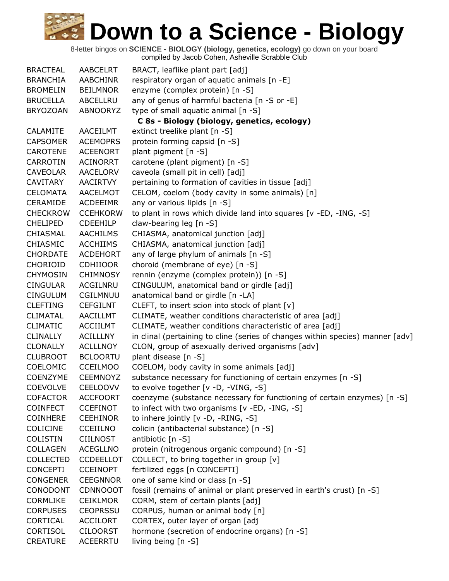| <b>BRACTEAL</b>  | AABCELRT         | BRACT, leaflike plant part [adj]                                               |
|------------------|------------------|--------------------------------------------------------------------------------|
| <b>BRANCHIA</b>  | AABCHINR         | respiratory organ of aquatic animals [n -E]                                    |
| <b>BROMELIN</b>  | <b>BEILMNOR</b>  | enzyme (complex protein) [n -S]                                                |
| <b>BRUCELLA</b>  | ABCELLRU         | any of genus of harmful bacteria [n -S or -E]                                  |
| <b>BRYOZOAN</b>  | ABNOORYZ         | type of small aquatic animal [n -S]                                            |
|                  |                  | C 8s - Biology (biology, genetics, ecology)                                    |
| CALAMITE         | <b>AACEILMT</b>  | extinct treelike plant [n -S]                                                  |
| <b>CAPSOMER</b>  | <b>ACEMOPRS</b>  | protein forming capsid [n -S]                                                  |
| CAROTENE         | <b>ACEENORT</b>  | plant pigment [n -S]                                                           |
| CARROTIN         | <b>ACINORRT</b>  | carotene (plant pigment) [n -S]                                                |
| <b>CAVEOLAR</b>  | AACELORV         | caveola (small pit in cell) [adj]                                              |
| <b>CAVITARY</b>  | <b>AACIRTVY</b>  | pertaining to formation of cavities in tissue [adj]                            |
| <b>CELOMATA</b>  | AACELMOT         | CELOM, coelom (body cavity in some animals) [n]                                |
| <b>CERAMIDE</b>  | <b>ACDEEIMR</b>  | any or various lipids [n -S]                                                   |
| <b>CHECKROW</b>  | <b>CCEHKORW</b>  | to plant in rows which divide land into squares [v -ED, -ING, -S]              |
| <b>CHELIPED</b>  | <b>CDEEHILP</b>  | claw-bearing leg [n -S]                                                        |
| CHIASMAL         | <b>AACHILMS</b>  | CHIASMA, anatomical junction [adj]                                             |
| <b>CHIASMIC</b>  | <b>ACCHIIMS</b>  | CHIASMA, anatomical junction [adj]                                             |
| <b>CHORDATE</b>  | <b>ACDEHORT</b>  | any of large phylum of animals [n -S]                                          |
| <b>CHORIOID</b>  | <b>CDHIIOOR</b>  | choroid (membrane of eye) [n -S]                                               |
| <b>CHYMOSIN</b>  | <b>CHIMNOSY</b>  | rennin (enzyme (complex protein)) [n -S]                                       |
| <b>CINGULAR</b>  | ACGILNRU         | CINGULUM, anatomical band or girdle [adj]                                      |
| <b>CINGULUM</b>  | CGILMNUU         | anatomical band or girdle [n -LA]                                              |
| <b>CLEFTING</b>  | <b>CEFGILNT</b>  | CLEFT, to insert scion into stock of plant [v]                                 |
| <b>CLIMATAL</b>  | AACILLMT         | CLIMATE, weather conditions characteristic of area [adj]                       |
| <b>CLIMATIC</b>  | <b>ACCIILMT</b>  | CLIMATE, weather conditions characteristic of area [adj]                       |
| <b>CLINALLY</b>  | <b>ACILLLNY</b>  | in clinal (pertaining to cline (series of changes within species) manner [adv] |
| <b>CLONALLY</b>  | <b>ACLLLNOY</b>  | CLON, group of asexually derived organisms [adv]                               |
| <b>CLUBROOT</b>  | <b>BCLOORTU</b>  | plant disease [n -S]                                                           |
| COELOMIC         | <b>CCEILMOO</b>  | COELOM, body cavity in some animals [adj]                                      |
| COENZYME         | <b>CEEMNOYZ</b>  | substance necessary for functioning of certain enzymes [n -S]                  |
| <b>COEVOLVE</b>  | <b>CEELOOVV</b>  | to evolve together [v -D, -VING, -S]                                           |
| <b>COFACTOR</b>  | <b>ACCFOORT</b>  | coenzyme (substance necessary for functioning of certain enzymes) [n -S]       |
| <b>COINFECT</b>  | <b>CCEFINOT</b>  | to infect with two organisms [v -ED, -ING, -S]                                 |
| <b>COINHERE</b>  | <b>CEEHINOR</b>  | to inhere jointly [v -D, -RING, -S]                                            |
| COLICINE         | <b>CCEIILNO</b>  | colicin (antibacterial substance) [n -S]                                       |
| <b>COLISTIN</b>  | <b>CIILNOST</b>  | antibiotic [n -S]                                                              |
| <b>COLLAGEN</b>  | <b>ACEGLLNO</b>  | protein (nitrogenous organic compound) [n -S]                                  |
| <b>COLLECTED</b> | <b>CCDEELLOT</b> | COLLECT, to bring together in group [v]                                        |
| <b>CONCEPTI</b>  | <b>CCEINOPT</b>  | fertilized eggs [n CONCEPTI]                                                   |
| <b>CONGENER</b>  | <b>CEEGNNOR</b>  | one of same kind or class [n -S]                                               |
| CONODONT         | <b>CDNNOOOT</b>  | fossil (remains of animal or plant preserved in earth's crust) [n -S]          |
| <b>CORMLIKE</b>  | <b>CEIKLMOR</b>  | CORM, stem of certain plants [adj]                                             |
| <b>CORPUSES</b>  | <b>CEOPRSSU</b>  | CORPUS, human or animal body [n]                                               |
| CORTICAL         | <b>ACCILORT</b>  | CORTEX, outer layer of organ [adj                                              |
| <b>CORTISOL</b>  | <b>CILOORST</b>  | hormone (secretion of endocrine organs) [n -S]                                 |
| <b>CREATURE</b>  | <b>ACEERRTU</b>  | living being [n -S]                                                            |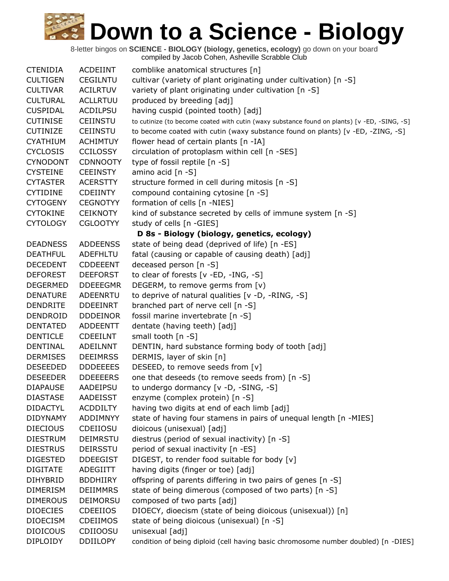8-letter bingos on **SCIENCE - BIOLOGY (biology, genetics, ecology)** go down on your board

|                 |                 | compiled by Jacob Cohen, Asheville Scrabble Club                                             |
|-----------------|-----------------|----------------------------------------------------------------------------------------------|
| <b>CTENIDIA</b> | <b>ACDEIINT</b> | comblike anatomical structures [n]                                                           |
| <b>CULTIGEN</b> | <b>CEGILNTU</b> | cultivar (variety of plant originating under cultivation) [n -S]                             |
| <b>CULTIVAR</b> | <b>ACILRTUV</b> | variety of plant originating under cultivation [n -S]                                        |
| <b>CULTURAL</b> | <b>ACLLRTUU</b> | produced by breeding [adj]                                                                   |
| <b>CUSPIDAL</b> | <b>ACDILPSU</b> | having cuspid (pointed tooth) [adj]                                                          |
| <b>CUTINISE</b> | <b>CEIINSTU</b> | to cutinize (to become coated with cutin (waxy substance found on plants) [v -ED, -SING, -S] |
| <b>CUTINIZE</b> | <b>CEIINSTU</b> | to become coated with cutin (waxy substance found on plants) [v -ED, -ZING, -S]              |
| <b>CYATHIUM</b> | <b>ACHIMTUY</b> | flower head of certain plants [n -IA]                                                        |
| <b>CYCLOSIS</b> | <b>CCILOSSY</b> | circulation of protoplasm within cell [n -SES]                                               |
| <b>CYNODONT</b> | <b>CDNNOOTY</b> | type of fossil reptile [n -S]                                                                |
| <b>CYSTEINE</b> | <b>CEEINSTY</b> | amino acid [n -S]                                                                            |
| <b>CYTASTER</b> | <b>ACERSTTY</b> | structure formed in cell during mitosis [n -S]                                               |
| <b>CYTIDINE</b> | <b>CDEIINTY</b> | compound containing cytosine [n -S]                                                          |
| <b>CYTOGENY</b> | <b>CEGNOTYY</b> | formation of cells [n -NIES]                                                                 |
| <b>CYTOKINE</b> | <b>CEIKNOTY</b> |                                                                                              |
|                 |                 | kind of substance secreted by cells of immune system [n -S]                                  |
| <b>CYTOLOGY</b> | <b>CGLOOTYY</b> | study of cells [n -GIES]                                                                     |
|                 |                 | D 8s - Biology (biology, genetics, ecology)                                                  |
| <b>DEADNESS</b> | <b>ADDEENSS</b> | state of being dead (deprived of life) [n -ES]                                               |
| <b>DEATHFUL</b> | ADEFHLTU        | fatal (causing or capable of causing death) [adj]                                            |
| <b>DECEDENT</b> | <b>CDDEEENT</b> | deceased person [n -S]                                                                       |
| <b>DEFOREST</b> | <b>DEEFORST</b> | to clear of forests [v -ED, -ING, -S]                                                        |
| <b>DEGERMED</b> | <b>DDEEEGMR</b> | DEGERM, to remove germs from [v)                                                             |
| <b>DENATURE</b> | ADEENRTU        | to deprive of natural qualities [v -D, -RING, -S]                                            |
| <b>DENDRITE</b> | <b>DDEEINRT</b> | branched part of nerve cell [n -S]                                                           |
| DENDROID        | <b>DDDEINOR</b> | fossil marine invertebrate [n -S]                                                            |
| <b>DENTATED</b> | ADDEENTT        | dentate (having teeth) [adj]                                                                 |
| <b>DENTICLE</b> | <b>CDEEILNT</b> | small tooth [n -S]                                                                           |
| <b>DENTINAL</b> | <b>ADEILNNT</b> | DENTIN, hard substance forming body of tooth [adj]                                           |
| <b>DERMISES</b> | <b>DEEIMRSS</b> | DERMIS, layer of skin [n]                                                                    |
| <b>DESEEDED</b> | <b>DDDEEEES</b> | DESEED, to remove seeds from [v]                                                             |
| <b>DESEEDER</b> | <b>DDEEEERS</b> | one that deseeds (to remove seeds from) [n -S]                                               |
| <b>DIAPAUSE</b> | AADEIPSU        | to undergo dormancy [v -D, -SING, -S]                                                        |
| <b>DIASTASE</b> | AADEISST        | enzyme (complex protein) [n -S]                                                              |
| <b>DIDACTYL</b> | <b>ACDDILTY</b> | having two digits at end of each limb [adj]                                                  |
| <b>DIDYNAMY</b> | ADDIMNYY        | state of having four stamens in pairs of unequal length [n -MIES]                            |
| <b>DIECIOUS</b> | CDEIIOSU        | dioicous (unisexual) [adj]                                                                   |
| <b>DIESTRUM</b> | <b>DEIMRSTU</b> | diestrus (period of sexual inactivity) [n -S]                                                |
| <b>DIESTRUS</b> | <b>DEIRSSTU</b> | period of sexual inactivity [n -ES]                                                          |
| <b>DIGESTED</b> | <b>DDEEGIST</b> | DIGEST, to render food suitable for body [v]                                                 |
| <b>DIGITATE</b> | ADEGIITT        | having digits (finger or toe) [adj]                                                          |
| <b>DIHYBRID</b> | <b>BDDHIIRY</b> | offspring of parents differing in two pairs of genes [n -S]                                  |
| <b>DIMERISM</b> | <b>DEIIMMRS</b> | state of being dimerous (composed of two parts) [n -S]                                       |
| <b>DIMEROUS</b> | <b>DEIMORSU</b> | composed of two parts [adj]                                                                  |
| <b>DIOECIES</b> | <b>CDEEIIOS</b> | DIOECY, dioecism (state of being dioicous (unisexual)) [n]                                   |
| <b>DIOECISM</b> | <b>CDEIIMOS</b> | state of being dioicous (unisexual) [n -S]                                                   |
| <b>DIOICOUS</b> | CDIIOOSU        | unisexual [adj]                                                                              |
| <b>DIPLOIDY</b> | <b>DDIILOPY</b> | condition of being diploid (cell having basic chromosome number doubled) [n -DIES]           |
|                 |                 |                                                                                              |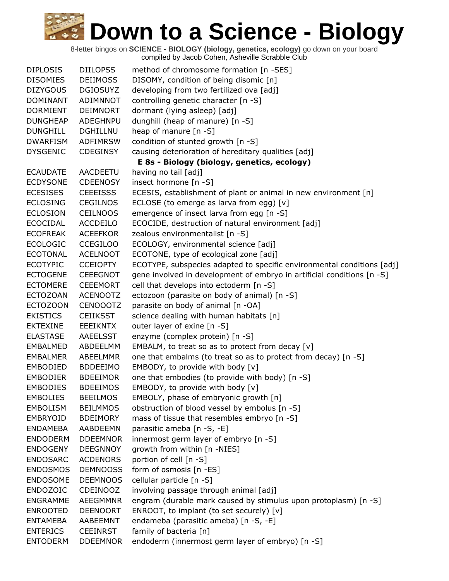| <b>DIPLOSIS</b> | <b>DIILOPSS</b> | method of chromosome formation [n -SES]                                |
|-----------------|-----------------|------------------------------------------------------------------------|
| <b>DISOMIES</b> | <b>DEIIMOSS</b> | DISOMY, condition of being disomic [n]                                 |
| <b>DIZYGOUS</b> | <b>DGIOSUYZ</b> | developing from two fertilized ova [adj]                               |
| <b>DOMINANT</b> | <b>ADIMNNOT</b> | controlling genetic character [n -S]                                   |
| <b>DORMIENT</b> | <b>DEIMNORT</b> | dormant (lying asleep) [adj]                                           |
| <b>DUNGHEAP</b> | ADEGHNPU        | dunghill (heap of manure) [n -S]                                       |
| <b>DUNGHILL</b> | <b>DGHILLNU</b> | heap of manure [n -S]                                                  |
| <b>DWARFISM</b> | <b>ADFIMRSW</b> | condition of stunted growth [n -S]                                     |
| <b>DYSGENIC</b> | <b>CDEGINSY</b> | causing deterioration of hereditary qualities [adj]                    |
|                 |                 | E 8s - Biology (biology, genetics, ecology)                            |
| <b>ECAUDATE</b> | <b>AACDEETU</b> | having no tail [adj]                                                   |
| <b>ECDYSONE</b> | <b>CDEENOSY</b> | insect hormone [n -S]                                                  |
| <b>ECESISES</b> | <b>CEEEISSS</b> | ECESIS, establishment of plant or animal in new environment [n]        |
| <b>ECLOSING</b> | <b>CEGILNOS</b> | ECLOSE (to emerge as larva from egg) [v]                               |
| <b>ECLOSION</b> | <b>CEILNOOS</b> | emergence of insect larva from egg [n -S]                              |
| <b>ECOCIDAL</b> | ACCDEILO        | ECOCIDE, destruction of natural environment [adj]                      |
| <b>ECOFREAK</b> | <b>ACEEFKOR</b> | zealous environmentalist [n -S]                                        |
| <b>ECOLOGIC</b> | <b>CCEGILOO</b> | ECOLOGY, environmental science [adj]                                   |
| <b>ECOTONAL</b> | <b>ACELNOOT</b> | ECOTONE, type of ecological zone [adj]                                 |
| <b>ECOTYPIC</b> | <b>CCEIOPTY</b> | ECOTYPE, subspecies adapted to specific environmental conditions [adj] |
| <b>ECTOGENE</b> | <b>CEEEGNOT</b> | gene involved in development of embryo in artificial conditions [n -S] |
| <b>ECTOMERE</b> | <b>CEEEMORT</b> | cell that develops into ectoderm [n -S]                                |
| <b>ECTOZOAN</b> | <b>ACENOOTZ</b> | ectozoon (parasite on body of animal) [n -S]                           |
| <b>ECTOZOON</b> | <b>CENOOOTZ</b> | parasite on body of animal [n -OA]                                     |
| <b>EKISTICS</b> | <b>CEIIKSST</b> | science dealing with human habitats [n]                                |
| <b>EKTEXINE</b> | <b>EEEIKNTX</b> | outer layer of exine [n -S]                                            |
| <b>ELASTASE</b> | AAEELSST        | enzyme (complex protein) [n -S]                                        |
| <b>EMBALMED</b> | ABDEELMM        | EMBALM, to treat so as to protect from decay $[v]$                     |
| <b>EMBALMER</b> | ABEELMMR        | one that embalms (to treat so as to protect from decay) [n -S]         |
| <b>EMBODIED</b> | <b>BDDEEIMO</b> | EMBODY, to provide with body [v]                                       |
| <b>EMBODIER</b> | <b>BDEEIMOR</b> | one that embodies (to provide with body) [n -S]                        |
| <b>EMBODIES</b> | <b>BDEEIMOS</b> | EMBODY, to provide with body [v]                                       |
| <b>EMBOLIES</b> | <b>BEEILMOS</b> | EMBOLY, phase of embryonic growth [n]                                  |
| <b>EMBOLISM</b> | <b>BEILMMOS</b> | obstruction of blood vessel by embolus [n -S]                          |
| <b>EMBRYOID</b> | <b>BDEIMORY</b> | mass of tissue that resembles embryo [n -S]                            |
| <b>ENDAMEBA</b> | AABDEEMN        | parasitic ameba [n -S, -E]                                             |
| <b>ENDODERM</b> | <b>DDEEMNOR</b> | innermost germ layer of embryo [n -S]                                  |
| <b>ENDOGENY</b> | <b>DEEGNNOY</b> | growth from within [n -NIES]                                           |
| <b>ENDOSARC</b> | <b>ACDENORS</b> | portion of cell [n -S]                                                 |
| <b>ENDOSMOS</b> | <b>DEMNOOSS</b> | form of osmosis [n -ES]                                                |
| <b>ENDOSOME</b> | <b>DEEMNOOS</b> | cellular particle [n -S]                                               |
| <b>ENDOZOIC</b> | <b>CDEINOOZ</b> | involving passage through animal [adj]                                 |
| <b>ENGRAMME</b> | <b>AEEGMMNR</b> | engram (durable mark caused by stimulus upon protoplasm) [n -S]        |
| <b>ENROOTED</b> | <b>DEENOORT</b> | ENROOT, to implant (to set securely) [v]                               |
| <b>ENTAMEBA</b> | AABEEMNT        | endameba (parasitic ameba) [n -S, -E]                                  |
| <b>ENTERICS</b> | <b>CEEINRST</b> | family of bacteria [n]                                                 |
| <b>ENTODERM</b> | <b>DDEEMNOR</b> | endoderm (innermost germ layer of embryo) [n -S]                       |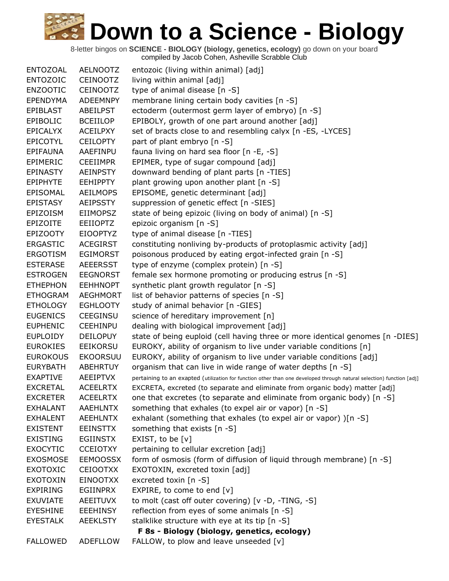| <b>ENTOZOAL</b> | <b>AELNOOTZ</b> | entozoic (living within animal) [adj]                                                                                 |
|-----------------|-----------------|-----------------------------------------------------------------------------------------------------------------------|
| <b>ENTOZOIC</b> | <b>CEINOOTZ</b> | living within animal [adj]                                                                                            |
| <b>ENZOOTIC</b> | <b>CEINOOTZ</b> | type of animal disease [n -S]                                                                                         |
| <b>EPENDYMA</b> | <b>ADEEMNPY</b> | membrane lining certain body cavities [n -S]                                                                          |
| <b>EPIBLAST</b> | <b>ABEILPST</b> | ectoderm (outermost germ layer of embryo) [n -S]                                                                      |
| <b>EPIBOLIC</b> | <b>BCEIILOP</b> | EPIBOLY, growth of one part around another [adj]                                                                      |
| <b>EPICALYX</b> | <b>ACEILPXY</b> | set of bracts close to and resembling calyx [n -ES, -LYCES]                                                           |
| <b>EPICOTYL</b> | <b>CEILOPTY</b> | part of plant embryo [n -S]                                                                                           |
| <b>EPIFAUNA</b> | AAEFINPU        | fauna living on hard sea floor [n -E, -S]                                                                             |
| <b>EPIMERIC</b> | <b>CEEIIMPR</b> | EPIMER, type of sugar compound [adj]                                                                                  |
| <b>EPINASTY</b> | <b>AEINPSTY</b> | downward bending of plant parts [n -TIES]                                                                             |
| <b>EPIPHYTE</b> | <b>EEHIPPTY</b> | plant growing upon another plant [n -S]                                                                               |
| EPISOMAL        | <b>AEILMOPS</b> | EPISOME, genetic determinant [adj]                                                                                    |
| <b>EPISTASY</b> | <b>AEIPSSTY</b> | suppression of genetic effect [n -SIES]                                                                               |
| EPIZOISM        | <b>EIIMOPSZ</b> | state of being epizoic (living on body of animal) [n -S]                                                              |
| EPIZOITE        | <b>EEIIOPTZ</b> | epizoic organism [n -S]                                                                                               |
| <b>EPIZOOTY</b> | <b>EIOOPTYZ</b> | type of animal disease [n -TIES]                                                                                      |
| <b>ERGASTIC</b> | <b>ACEGIRST</b> | constituting nonliving by-products of protoplasmic activity [adj]                                                     |
| <b>ERGOTISM</b> | <b>EGIMORST</b> | poisonous produced by eating ergot-infected grain [n -S]                                                              |
| <b>ESTERASE</b> | <b>AEEERSST</b> | type of enzyme (complex protein) [n -S]                                                                               |
| <b>ESTROGEN</b> | <b>EEGNORST</b> | female sex hormone promoting or producing estrus [n -S]                                                               |
| <b>ETHEPHON</b> | <b>EEHHNOPT</b> | synthetic plant growth regulator [n -S]                                                                               |
| <b>ETHOGRAM</b> | <b>AEGHMORT</b> | list of behavior patterns of species [n -S]                                                                           |
| <b>ETHOLOGY</b> | <b>EGHLOOTY</b> | study of animal behavior [n -GIES]                                                                                    |
| <b>EUGENICS</b> | CEEGINSU        | science of hereditary improvement [n]                                                                                 |
| <b>EUPHENIC</b> | <b>CEEHINPU</b> | dealing with biological improvement [adj]                                                                             |
| <b>EUPLOIDY</b> | <b>DEILOPUY</b> | state of being euploid (cell having three or more identical genomes [n -DIES]                                         |
| <b>EUROKIES</b> | EEIKORSU        | EUROKY, ability of organism to live under variable conditions [n]                                                     |
| <b>EUROKOUS</b> | <b>EKOORSUU</b> | EUROKY, ability of organism to live under variable conditions [adj]                                                   |
| <b>EURYBATH</b> | ABEHRTUY        | organism that can live in wide range of water depths [n -S]                                                           |
| <b>EXAPTIVE</b> | <b>AEEIPTVX</b> | pertaining to an exapted (utilization for function other than one developed through natural selection) function [adj] |
| <b>EXCRETAL</b> | <b>ACEELRTX</b> | EXCRETA, excreted (to separate and eliminate from organic body) matter [adj]                                          |
| <b>EXCRETER</b> | <b>ACEELRTX</b> | one that excretes (to separate and eliminate from organic body) [n -S]                                                |
| <b>EXHALANT</b> | <b>AAEHLNTX</b> | something that exhales (to expel air or vapor) [n -S]                                                                 |
| <b>EXHALENT</b> | <b>AEEHLNTX</b> | exhalant (something that exhales (to expel air or vapor) )[n -S]                                                      |
| <b>EXISTENT</b> | <b>EEINSTTX</b> | something that exists [n -S]                                                                                          |
| <b>EXISTING</b> | <b>EGIINSTX</b> | EXIST, to be [v]                                                                                                      |
| <b>EXOCYTIC</b> | <b>CCEIOTXY</b> | pertaining to cellular excretion [adj]                                                                                |
| <b>EXOSMOSE</b> | <b>EEMOOSSX</b> | form of osmosis (form of diffusion of liquid through membrane) [n -S]                                                 |
| <b>EXOTOXIC</b> | <b>CEIOOTXX</b> | EXOTOXIN, excreted toxin [adj]                                                                                        |
| <b>EXOTOXIN</b> | <b>EINOOTXX</b> | excreted toxin [n -S]                                                                                                 |
| <b>EXPIRING</b> | <b>EGIINPRX</b> | EXPIRE, to come to end [v]                                                                                            |
| <b>EXUVIATE</b> | AEEITUVX        | to molt (cast off outer covering) [v -D, -TING, -S]                                                                   |
| <b>EYESHINE</b> | <b>EEEHINSY</b> | reflection from eyes of some animals [n -S]                                                                           |
| <b>EYESTALK</b> | <b>AEEKLSTY</b> | stalklike structure with eye at its tip [n -S]                                                                        |
|                 |                 | F 8s - Biology (biology, genetics, ecology)                                                                           |
| <b>FALLOWED</b> | <b>ADEFLLOW</b> | FALLOW, to plow and leave unseeded [v]                                                                                |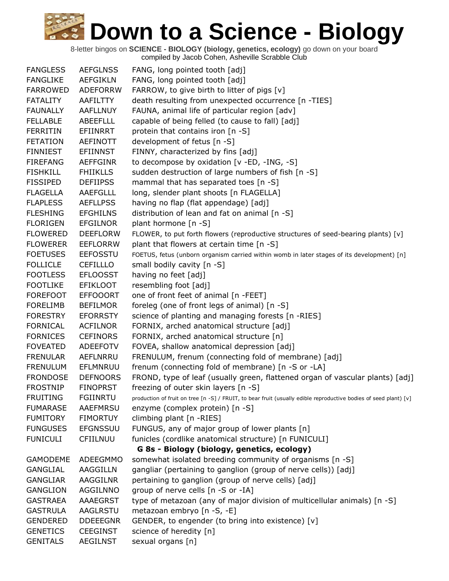| <b>FANGLESS</b> | <b>AEFGLNSS</b> | FANG, long pointed tooth [adj]                                                                                   |
|-----------------|-----------------|------------------------------------------------------------------------------------------------------------------|
| <b>FANGLIKE</b> | <b>AEFGIKLN</b> | FANG, long pointed tooth [adj]                                                                                   |
| <b>FARROWED</b> | <b>ADEFORRW</b> | FARROW, to give birth to litter of pigs [v]                                                                      |
| <b>FATALITY</b> | AAFILTTY        | death resulting from unexpected occurrence [n -TIES]                                                             |
| <b>FAUNALLY</b> | <b>AAFLLNUY</b> | FAUNA, animal life of particular region [adv]                                                                    |
| <b>FELLABLE</b> | <b>ABEEFLLL</b> | capable of being felled (to cause to fall) [adj]                                                                 |
| <b>FERRITIN</b> | EFIINRRT        | protein that contains iron [n -S]                                                                                |
| <b>FETATION</b> | <b>AEFINOTT</b> | development of fetus [n -S]                                                                                      |
| <b>FINNIEST</b> | <b>EFIINNST</b> | FINNY, characterized by fins [adj]                                                                               |
| <b>FIREFANG</b> | <b>AEFFGINR</b> | to decompose by oxidation [v -ED, -ING, -S]                                                                      |
| <b>FISHKILL</b> | <b>FHIIKLLS</b> | sudden destruction of large numbers of fish [n -S]                                                               |
| <b>FISSIPED</b> | <b>DEFIIPSS</b> | mammal that has separated toes [n -S]                                                                            |
| <b>FLAGELLA</b> | <b>AAEFGLLL</b> | long, slender plant shoots [n FLAGELLA]                                                                          |
| <b>FLAPLESS</b> | <b>AEFLLPSS</b> | having no flap (flat appendage) [adj]                                                                            |
| <b>FLESHING</b> | <b>EFGHILNS</b> | distribution of lean and fat on animal [n -S]                                                                    |
| <b>FLORIGEN</b> | <b>EFGILNOR</b> | plant hormone [n -S]                                                                                             |
| <b>FLOWERED</b> | <b>DEEFLORW</b> | FLOWER, to put forth flowers (reproductive structures of seed-bearing plants) [v]                                |
| <b>FLOWERER</b> | <b>EEFLORRW</b> | plant that flowers at certain time [n -S]                                                                        |
| <b>FOETUSES</b> | <b>EEFOSSTU</b> | FOETUS, fetus (unborn organism carried within womb in later stages of its development) [n]                       |
| <b>FOLLICLE</b> | <b>CEFILLLO</b> | small bodily cavity [n -S]                                                                                       |
| <b>FOOTLESS</b> | <b>EFLOOSST</b> | having no feet [adj]                                                                                             |
| <b>FOOTLIKE</b> | <b>EFIKLOOT</b> | resembling foot [adj]                                                                                            |
| <b>FOREFOOT</b> | <b>EFFOOORT</b> | one of front feet of animal [n -FEET]                                                                            |
| <b>FORELIMB</b> | <b>BEFILMOR</b> | foreleg (one of front legs of animal) [n -S]                                                                     |
| <b>FORESTRY</b> | <b>EFORRSTY</b> | science of planting and managing forests [n -RIES]                                                               |
| <b>FORNICAL</b> | <b>ACFILNOR</b> | FORNIX, arched anatomical structure [adj]                                                                        |
| <b>FORNICES</b> | <b>CEFINORS</b> | FORNIX, arched anatomical structure [n]                                                                          |
| <b>FOVEATED</b> | ADEEFOTV        | FOVEA, shallow anatomical depression [adj]                                                                       |
| <b>FRENULAR</b> | AEFLNRRU        | FRENULUM, frenum (connecting fold of membrane) [adj]                                                             |
| <b>FRENULUM</b> | EFLMNRUU        | frenum (connecting fold of membrane) [n -S or -LA]                                                               |
| <b>FRONDOSE</b> | <b>DEFNOORS</b> | FROND, type of leaf (usually green, flattened organ of vascular plants) [adj]                                    |
| <b>FROSTNIP</b> | <b>FINOPRST</b> | freezing of outer skin layers [n -S]                                                                             |
| <b>FRUITING</b> | <b>FGIINRTU</b> | production of fruit on tree [n -S] / FRUIT, to bear fruit (usually edible reproductive bodies of seed plant) [v] |
| <b>FUMARASE</b> | <b>AAEFMRSU</b> | enzyme (complex protein) [n -S]                                                                                  |
| <b>FUMITORY</b> | <b>FIMORTUY</b> | climbing plant [n -RIES]                                                                                         |
| <b>FUNGUSES</b> | <b>EFGNSSUU</b> | FUNGUS, any of major group of lower plants [n]                                                                   |
| <b>FUNICULI</b> | CFIILNUU        | funicles (cordlike anatomical structure) [n FUNICULI]                                                            |
|                 |                 | G 8s - Biology (biology, genetics, ecology)                                                                      |
| <b>GAMODEME</b> | ADEEGMMO        | somewhat isolated breeding community of organisms [n -S]                                                         |
| <b>GANGLIAL</b> | AAGGILLN        | gangliar (pertaining to ganglion (group of nerve cells)) [adj]                                                   |
| <b>GANGLIAR</b> | <b>AAGGILNR</b> | pertaining to ganglion (group of nerve cells) [adj]                                                              |
| <b>GANGLION</b> | AGGILNNO        | group of nerve cells [n -S or -IA]                                                                               |
| <b>GASTRAEA</b> | AAAEGRST        | type of metazoan (any of major division of multicellular animals) [n -S]                                         |
| <b>GASTRULA</b> | AAGLRSTU        | metazoan embryo [n -S, -E]                                                                                       |
| <b>GENDERED</b> | <b>DDEEEGNR</b> | GENDER, to engender (to bring into existence) [v]                                                                |
| <b>GENETICS</b> | <b>CEEGINST</b> | science of heredity [n]                                                                                          |
| <b>GENITALS</b> | <b>AEGILNST</b> | sexual organs [n]                                                                                                |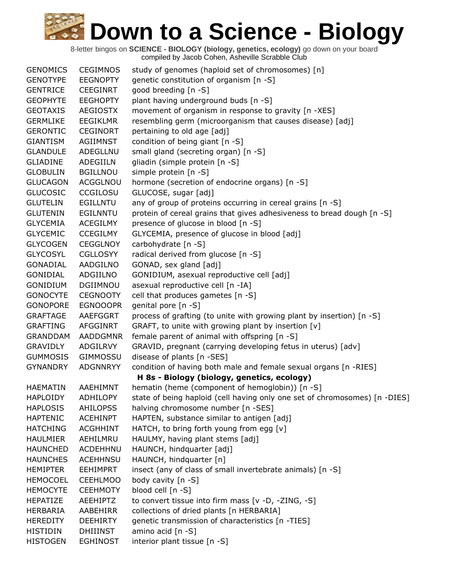| <b>GENOMICS</b> | <b>CEGIMNOS</b> | study of genomes (haploid set of chromosomes) [n]                          |
|-----------------|-----------------|----------------------------------------------------------------------------|
| <b>GENOTYPE</b> | <b>EEGNOPTY</b> | genetic constitution of organism [n -S]                                    |
| <b>GENTRICE</b> | CEEGINRT        | good breeding [n -S]                                                       |
| <b>GEOPHYTE</b> | <b>EEGHOPTY</b> | plant having underground buds [n -S]                                       |
| <b>GEOTAXIS</b> | <b>AEGIOSTX</b> | movement of organism in response to gravity [n -XES]                       |
| <b>GERMLIKE</b> | EEGIKLMR        | resembling germ (microorganism that causes disease) [adj]                  |
| <b>GERONTIC</b> | <b>CEGINORT</b> | pertaining to old age [adj]                                                |
| <b>GIANTISM</b> | AGIIMNST        | condition of being giant [n -S]                                            |
| <b>GLANDULE</b> | ADEGLLNU        | small gland (secreting organ) [n -S]                                       |
| <b>GLIADINE</b> | <b>ADEGIILN</b> | gliadin (simple protein [n -S]                                             |
| <b>GLOBULIN</b> | <b>BGILLNOU</b> | simple protein [n -S]                                                      |
| <b>GLUCAGON</b> | ACGGLNOU        | hormone (secretion of endocrine organs) [n -S]                             |
| <b>GLUCOSIC</b> | CCGILOSU        | GLUCOSE, sugar [adj]                                                       |
| <b>GLUTELIN</b> | <b>EGILLNTU</b> | any of group of proteins occurring in cereal grains [n -S]                 |
| <b>GLUTENIN</b> | <b>EGILNNTU</b> | protein of cereal grains that gives adhesiveness to bread dough [n -S]     |
| <b>GLYCEMIA</b> | <b>ACEGILMY</b> | presence of glucose in blood [n -S]                                        |
| <b>GLYCEMIC</b> | <b>CCEGILMY</b> | GLYCEMIA, presence of glucose in blood [adj]                               |
| <b>GLYCOGEN</b> | <b>CEGGLNOY</b> | carbohydrate [n -S]                                                        |
| <b>GLYCOSYL</b> | CGLLOSYY        | radical derived from glucose [n -S]                                        |
| GONADIAL        | AADGILNO        | GONAD, sex gland [adj]                                                     |
| GONIDIAL        | ADGIILNO        | GONIDIUM, asexual reproductive cell [adj]                                  |
| <b>GONIDIUM</b> | DGIIMNOU        | asexual reproductive cell [n -IA]                                          |
| <b>GONOCYTE</b> | <b>CEGNOOTY</b> | cell that produces gametes [n -S]                                          |
| <b>GONOPORE</b> | <b>EGNOOOPR</b> | genital pore [n -S]                                                        |
| <b>GRAFTAGE</b> | AAEFGGRT        | process of grafting (to unite with growing plant by insertion) [n -S]      |
| <b>GRAFTING</b> | AFGGINRT        | GRAFT, to unite with growing plant by insertion [v]                        |
| <b>GRANDDAM</b> | AADDGMNR        | female parent of animal with offspring [n -S]                              |
| <b>GRAVIDLY</b> | ADGILRVY        | GRAVID, pregnant (carrying developing fetus in uterus) [adv]               |
| <b>GUMMOSIS</b> | <b>GIMMOSSU</b> | disease of plants [n -SES]                                                 |
| <b>GYNANDRY</b> | ADGNNRYY        | condition of having both male and female sexual organs [n -RIES]           |
|                 |                 | H 8s - Biology (biology, genetics, ecology)                                |
| <b>HAEMATIN</b> | AAEHIMNT        | hematin (heme (component of hemoglobin)) [n -S]                            |
| <b>HAPLOIDY</b> | <b>ADHILOPY</b> | state of being haploid (cell having only one set of chromosomes) [n -DIES] |
| <b>HAPLOSIS</b> | <b>AHILOPSS</b> | halving chromosome number [n -SES]                                         |
| <b>HAPTENIC</b> | <b>ACEHINPT</b> | HAPTEN, substance similar to antigen [adj]                                 |
| <b>HATCHING</b> | <b>ACGHHINT</b> | HATCH, to bring forth young from egg [v]                                   |
| <b>HAULMIER</b> | AEHILMRU        | HAULMY, having plant stems [adj]                                           |
| <b>HAUNCHED</b> | ACDEHHNU        | HAUNCH, hindquarter [adj]                                                  |
| <b>HAUNCHES</b> | <b>ACEHHNSU</b> | HAUNCH, hindquarter [n]                                                    |
| <b>HEMIPTER</b> | <b>EEHIMPRT</b> | insect (any of class of small invertebrate animals) [n -S]                 |
| <b>HEMOCOEL</b> | <b>CEEHLMOO</b> | body cavity $[n - S]$                                                      |
| <b>HEMOCYTE</b> | <b>CEEHMOTY</b> | blood cell [n -S]                                                          |
| <b>HEPATIZE</b> | <b>AEEHIPTZ</b> | to convert tissue into firm mass [v -D, -ZING, -S]                         |
| HERBARIA        | AABEHIRR        | collections of dried plants [n HERBARIA]                                   |
| <b>HEREDITY</b> | <b>DEEHIRTY</b> | genetic transmission of characteristics [n -TIES]                          |
| <b>HISTIDIN</b> | <b>DHIIINST</b> | amino acid [n -S]                                                          |
| <b>HISTOGEN</b> | <b>EGHINOST</b> | interior plant tissue [n -S]                                               |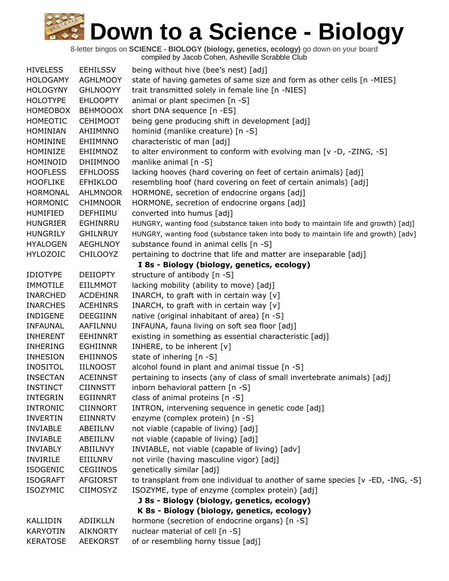| <b>HIVELESS</b> | <b>EEHILSSV</b> | being without hive (bee's nest) [adj]                                              |
|-----------------|-----------------|------------------------------------------------------------------------------------|
| <b>HOLOGAMY</b> | <b>AGHLMOOY</b> | state of having gametes of same size and form as other cells [n -MIES]             |
| <b>HOLOGYNY</b> | <b>GHLNOOYY</b> | trait transmitted solely in female line [n -NIES]                                  |
| <b>HOLOTYPE</b> | <b>EHLOOPTY</b> | animal or plant specimen [n -S]                                                    |
| <b>HOMEOBOX</b> | <b>BEHMOOOX</b> | short DNA sequence [n -ES]                                                         |
| <b>HOMEOTIC</b> | <b>CEHIMOOT</b> | being gene producing shift in development [adj]                                    |
| <b>HOMINIAN</b> | AHIIMNNO        | hominid (manlike creature) [n -S]                                                  |
| <b>HOMININE</b> | EHIIMNNO        | characteristic of man [adj]                                                        |
| HOMINIZE        | EHIIMNOZ        | to alter environment to conform with evolving man [v -D, -ZING, -S]                |
| <b>HOMINOID</b> | <b>DHIIMNOO</b> | manlike animal [n -S]                                                              |
| <b>HOOFLESS</b> | <b>EFHLOOSS</b> | lacking hooves (hard covering on feet of certain animals) [adj]                    |
| <b>HOOFLIKE</b> | <b>EFHIKLOO</b> | resembling hoof (hard covering on feet of certain animals) [adj]                   |
| <b>HORMONAL</b> | AHLMNOOR        | HORMONE, secretion of endocrine organs [adj]                                       |
| <b>HORMONIC</b> | <b>CHIMNOOR</b> | HORMONE, secretion of endocrine organs [adj]                                       |
| <b>HUMIFIED</b> | DEFHIIMU        | converted into humus [adj]                                                         |
| <b>HUNGRIER</b> | <b>EGHINRRU</b> | HUNGRY, wanting food (substance taken into body to maintain life and growth) [adj] |
| <b>HUNGRILY</b> | <b>GHILNRUY</b> | HUNGRY, wanting food (substance taken into body to maintain life and growth) [adv] |
| <b>HYALOGEN</b> | <b>AEGHLNOY</b> | substance found in animal cells [n -S]                                             |
| <b>HYLOZOIC</b> | <b>CHILOOYZ</b> | pertaining to doctrine that life and matter are inseparable [adj]                  |
|                 |                 | I 8s - Biology (biology, genetics, ecology)                                        |
| <b>IDIOTYPE</b> | <b>DEIIOPTY</b> | structure of antibody [n -S]                                                       |
| <b>IMMOTILE</b> | <b>EIILMMOT</b> | lacking mobility (ability to move) [adj]                                           |
| <b>INARCHED</b> | <b>ACDEHINR</b> | INARCH, to graft with in certain way [v]                                           |
| <b>INARCHES</b> | <b>ACEHINRS</b> | INARCH, to graft with in certain way $[v]$                                         |
| <b>INDIGENE</b> | <b>DEEGIINN</b> | native (original inhabitant of area) [n -S]                                        |
| <b>INFAUNAL</b> | AAFILNNU        | INFAUNA, fauna living on soft sea floor [adj]                                      |
| <b>INHERENT</b> | <b>EEHINNRT</b> | existing in something as essential characteristic [adj]                            |
| <b>INHERING</b> | <b>EGHIINNR</b> | INHERE, to be inherent [v]                                                         |
| <b>INHESION</b> | <b>EHIINNOS</b> | state of inhering [n -S]                                                           |
| <b>INOSITOL</b> | <b>IILNOOST</b> | alcohol found in plant and animal tissue [n -S]                                    |
| <b>INSECTAN</b> | <b>ACEINNST</b> | pertaining to insects (any of class of small invertebrate animals) [adj]           |
| <b>INSTINCT</b> | <b>CIINNSTT</b> | inborn behavioral pattern [n -S]                                                   |
| <b>INTEGRIN</b> | <b>EGIINNRT</b> | class of animal proteins [n -S]                                                    |
| <b>INTRONIC</b> | <b>CIINNORT</b> | INTRON, intervening sequence in genetic code [adj]                                 |
| <b>INVERTIN</b> | <b>EIINNRTV</b> | enzyme (complex protein) [n -S]                                                    |
| <b>INVIABLE</b> | ABEIILNV        | not viable (capable of living) [adj]                                               |
| <b>INVIABLE</b> | ABEIILNV        | not viable (capable of living) [adj]                                               |
| <b>INVIABLY</b> | ABIILNVY        | INVIABLE, not viable (capable of living) [adv]                                     |
| <b>INVIRILE</b> | EIIILNRV        |                                                                                    |
|                 |                 | not virile (having masculine vigor) [adj]                                          |
| <b>ISOGENIC</b> | <b>CEGIINOS</b> | genetically similar [adj]                                                          |
| <b>ISOGRAFT</b> | <b>AFGIORST</b> | to transplant from one individual to another of same species [v -ED, -ING, -S]     |
| <b>ISOZYMIC</b> | CIIMOSYZ        | ISOZYME, type of enzyme (complex protein) [adj]                                    |
|                 |                 | J 8s - Biology (biology, genetics, ecology)                                        |
|                 |                 | K 8s - Biology (biology, genetics, ecology)                                        |
| KALLIDIN        | ADIIKLLN        | hormone (secretion of endocrine organs) [n -S]                                     |
| <b>KARYOTIN</b> | <b>AIKNORTY</b> | nuclear material of cell [n -S]                                                    |
| <b>KERATOSE</b> | <b>AEEKORST</b> | of or resembling horny tissue [adj]                                                |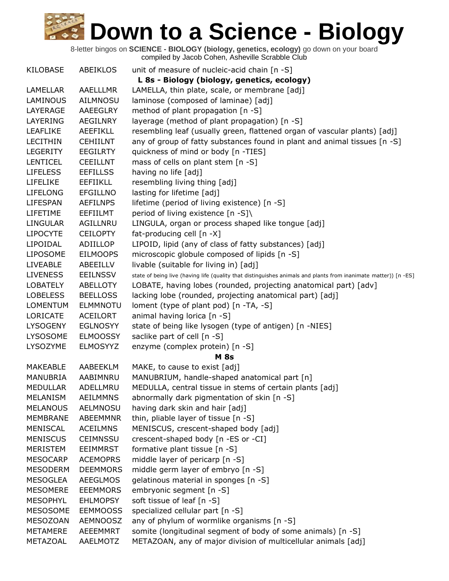| KILOBASE        | ABEIKLOS        | unit of measure of nucleic-acid chain $[n - S]$                                                                 |
|-----------------|-----------------|-----------------------------------------------------------------------------------------------------------------|
|                 |                 | L 8s - Biology (biology, genetics, ecology)                                                                     |
| LAMELLAR        | <b>AAELLLMR</b> | LAMELLA, thin plate, scale, or membrane [adj]                                                                   |
| <b>LAMINOUS</b> | AILMNOSU        | laminose (composed of laminae) [adj]                                                                            |
| LAYERAGE        | <b>AAEEGLRY</b> | method of plant propagation [n -S]                                                                              |
| LAYERING        | <b>AEGILNRY</b> | layerage (method of plant propagation) [n -S]                                                                   |
| <b>LEAFLIKE</b> | <b>AEEFIKLL</b> | resembling leaf (usually green, flattened organ of vascular plants) [adj]                                       |
| <b>LECITHIN</b> | <b>CEHIILNT</b> | any of group of fatty substances found in plant and animal tissues [n -S]                                       |
| <b>LEGERITY</b> | <b>EEGILRTY</b> | quickness of mind or body [n -TIES]                                                                             |
| <b>LENTICEL</b> | <b>CEEILLNT</b> | mass of cells on plant stem [n -S]                                                                              |
| <b>LIFELESS</b> | <b>EEFILLSS</b> | having no life [adj]                                                                                            |
| <b>LIFELIKE</b> | <b>EEFIIKLL</b> | resembling living thing [adj]                                                                                   |
| <b>LIFELONG</b> | <b>EFGILLNO</b> | lasting for lifetime [adj]                                                                                      |
| LIFESPAN        | <b>AEFILNPS</b> | lifetime (period of living existence) [n -S]                                                                    |
| LIFETIME        | EEFIILMT        | period of living existence [n -S]\                                                                              |
| <b>LINGULAR</b> | AGILLNRU        | LINGULA, organ or process shaped like tongue [adj]                                                              |
| <b>LIPOCYTE</b> | <b>CEILOPTY</b> | fat-producing cell [n -X]                                                                                       |
| LIPOIDAL        | ADIILLOP        | LIPOID, lipid (any of class of fatty substances) [adj]                                                          |
| <b>LIPOSOME</b> | <b>EILMOOPS</b> | microscopic globule composed of lipids [n -S]                                                                   |
| <b>LIVEABLE</b> | ABEEILLV        | livable (suitable for living in) [adj]                                                                          |
| <b>LIVENESS</b> | <b>EEILNSSV</b> | state of being live (having life (quality that distinguishes animals and plants from inanimate matter)) [n -ES] |
| <b>LOBATELY</b> | <b>ABELLOTY</b> | LOBATE, having lobes (rounded, projecting anatomical part) [adv]                                                |
| <b>LOBELESS</b> | <b>BEELLOSS</b> | lacking lobe (rounded, projecting anatomical part) [adj]                                                        |
| <b>LOMENTUM</b> | <b>ELMMNOTU</b> | loment (type of plant pod) [n -TA, -S]                                                                          |
| <b>LORICATE</b> | <b>ACEILORT</b> | animal having lorica [n -S]                                                                                     |
| <b>LYSOGENY</b> | <b>EGLNOSYY</b> | state of being like lysogen (type of antigen) [n -NIES]                                                         |
| LYSOSOME        | <b>ELMOOSSY</b> | saclike part of cell [n -S]                                                                                     |
| LYSOZYME        | <b>ELMOSYYZ</b> | enzyme (complex protein) [n -S]                                                                                 |
|                 |                 | <b>M</b> 8s                                                                                                     |
| <b>MAKEABLE</b> | AABEEKLM        | MAKE, to cause to exist [adj]                                                                                   |
| MANUBRIA        | AABIMNRU        | MANUBRIUM, handle-shaped anatomical part [n]                                                                    |
| <b>MEDULLAR</b> | ADELLMRU        | MEDULLA, central tissue in stems of certain plants [adj]                                                        |
| <b>MELANISM</b> | <b>AEILMMNS</b> | abnormally dark pigmentation of skin [n -S]                                                                     |
| <b>MELANOUS</b> | <b>AELMNOSU</b> | having dark skin and hair [adj]                                                                                 |
| <b>MEMBRANE</b> | ABEEMMNR        | thin, pliable layer of tissue [n -S]                                                                            |
| MENISCAL        | <b>ACEILMNS</b> | MENISCUS, crescent-shaped body [adj]                                                                            |
| <b>MENISCUS</b> | <b>CEIMNSSU</b> | crescent-shaped body [n -ES or -CI]                                                                             |
| <b>MERISTEM</b> | <b>EEIMMRST</b> | formative plant tissue [n -S]                                                                                   |
| <b>MESOCARP</b> | <b>ACEMOPRS</b> | middle layer of pericarp [n -S]                                                                                 |
| <b>MESODERM</b> | <b>DEEMMORS</b> | middle germ layer of embryo [n -S]                                                                              |
| <b>MESOGLEA</b> | <b>AEEGLMOS</b> | gelatinous material in sponges [n -S]                                                                           |
| <b>MESOMERE</b> | <b>EEEMMORS</b> | embryonic segment [n -S]                                                                                        |
| <b>MESOPHYL</b> | <b>EHLMOPSY</b> | soft tissue of leaf [n -S]                                                                                      |
| MESOSOME        | <b>EEMMOOSS</b> | specialized cellular part [n -S]                                                                                |
| MESOZOAN        | <b>AEMNOOSZ</b> | any of phylum of wormlike organisms [n -S]                                                                      |
| <b>METAMERE</b> | AEEEMMRT        | somite (longitudinal segment of body of some animals) [n -S]                                                    |
| METAZOAL        | AAELMOTZ        | METAZOAN, any of major division of multicellular animals [adj]                                                  |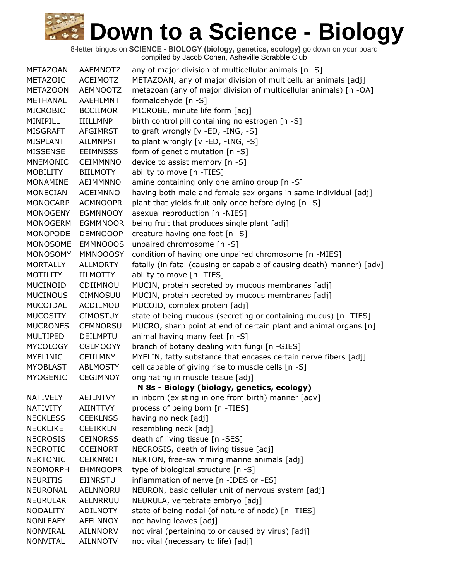| <b>METAZOAN</b> | AAEMNOTZ        | any of major division of multicellular animals [n -S]                 |
|-----------------|-----------------|-----------------------------------------------------------------------|
| METAZOIC        | <b>ACEIMOTZ</b> | METAZOAN, any of major division of multicellular animals [adj]        |
| <b>METAZOON</b> | <b>AEMNOOTZ</b> | metazoan (any of major division of multicellular animals) [n -OA]     |
| METHANAL        | AAEHLMNT        | formaldehyde [n -S]                                                   |
| <b>MICROBIC</b> | <b>BCCIIMOR</b> | MICROBE, minute life form [adj]                                       |
| MINIPILL        | <b>IIILLMNP</b> | birth control pill containing no estrogen [n -S]                      |
| <b>MISGRAFT</b> | <b>AFGIMRST</b> | to graft wrongly [v -ED, -ING, -S]                                    |
| MISPLANT        | <b>AILMNPST</b> | to plant wrongly [v -ED, -ING, -S]                                    |
| <b>MISSENSE</b> | <b>EEIMNSSS</b> | form of genetic mutation [n -S]                                       |
| <b>MNEMONIC</b> | <b>CEIMMNNO</b> | device to assist memory [n -S]                                        |
| <b>MOBILITY</b> | <b>BIILMOTY</b> | ability to move [n -TIES]                                             |
| MONAMINE        | AEIMMNNO        | amine containing only one amino group [n -S]                          |
| <b>MONECIAN</b> | <b>ACEIMNNO</b> | having both male and female sex organs in same individual [adj]       |
| <b>MONOCARP</b> | <b>ACMNOOPR</b> | plant that yields fruit only once before dying [n -S]                 |
| <b>MONOGENY</b> | EGMNNOOY        | asexual reproduction [n -NIES]                                        |
| <b>MONOGERM</b> | <b>EGMMNOOR</b> | being fruit that produces single plant [adj]                          |
| <b>MONOPODE</b> | <b>DEMNOOOP</b> | creature having one foot [n -S]                                       |
| <b>MONOSOME</b> | <b>EMMNOOOS</b> | unpaired chromosome [n -S]                                            |
| <b>MONOSOMY</b> | <b>MMNOOOSY</b> | condition of having one unpaired chromosome [n -MIES]                 |
| <b>MORTALLY</b> | <b>ALLMORTY</b> | fatally (in fatal (causing or capable of causing death) manner) [adv] |
| MOTILITY        | IILMOTTY        | ability to move [n -TIES]                                             |
| MUCINOID        | CDIIMNOU        | MUCIN, protein secreted by mucous membranes [adj]                     |
| <b>MUCINOUS</b> | <b>CIMNOSUU</b> | MUCIN, protein secreted by mucous membranes [adj]                     |
| MUCOIDAL        | ACDILMOU        | MUCOID, complex protein [adj]                                         |
| <b>MUCOSITY</b> | <b>CIMOSTUY</b> | state of being mucous (secreting or containing mucus) [n -TIES]       |
| <b>MUCRONES</b> | <b>CEMNORSU</b> | MUCRO, sharp point at end of certain plant and animal organs [n]      |
| MULTIPED        | <b>DEILMPTU</b> | animal having many feet [n -S]                                        |
| <b>MYCOLOGY</b> | <b>CGLMOOYY</b> | branch of botany dealing with fungi [n -GIES]                         |
| <b>MYELINIC</b> | <b>CEIILMNY</b> | MYELIN, fatty substance that encases certain nerve fibers [adj]       |
| <b>MYOBLAST</b> | <b>ABLMOSTY</b> | cell capable of giving rise to muscle cells [n -S]                    |
| <b>MYOGENIC</b> | <b>CEGIMNOY</b> | originating in muscle tissue [adj]                                    |
|                 |                 | N 8s - Biology (biology, genetics, ecology)                           |
| <b>NATIVELY</b> | <b>AEILNTVY</b> | in inborn (existing in one from birth) manner [adv]                   |
| <b>NATIVITY</b> | <b>AIINTTVY</b> | process of being born [n -TIES]                                       |
| <b>NECKLESS</b> | <b>CEEKLNSS</b> | having no neck [adj]                                                  |
| <b>NECKLIKE</b> | <b>CEEIKKLN</b> | resembling neck [adj]                                                 |
| <b>NECROSIS</b> | <b>CEINORSS</b> | death of living tissue [n -SES]                                       |
| <b>NECROTIC</b> | <b>CCEINORT</b> | NECROSIS, death of living tissue [adj]                                |
| <b>NEKTONIC</b> | <b>CEIKNNOT</b> | NEKTON, free-swimming marine animals [adj]                            |
| <b>NEOMORPH</b> | <b>EHMNOOPR</b> | type of biological structure [n -S]                                   |
| <b>NEURITIS</b> | <b>EIINRSTU</b> | inflammation of nerve [n -IDES or -ES]                                |
| NEURONAL        | AELNNORU        | NEURON, basic cellular unit of nervous system [adj]                   |
| <b>NEURULAR</b> | AELNRRUU        | NEURULA, vertebrate embryo [adj]                                      |
| <b>NODALITY</b> | <b>ADILNOTY</b> | state of being nodal (of nature of node) [n -TIES]                    |
| <b>NONLEAFY</b> | <b>AEFLNNOY</b> | not having leaves [adj]                                               |
| <b>NONVIRAL</b> | <b>AILNNORV</b> | not viral (pertaining to or caused by virus) [adj]                    |
| <b>NONVITAL</b> | <b>AILNNOTV</b> | not vital (necessary to life) [adj]                                   |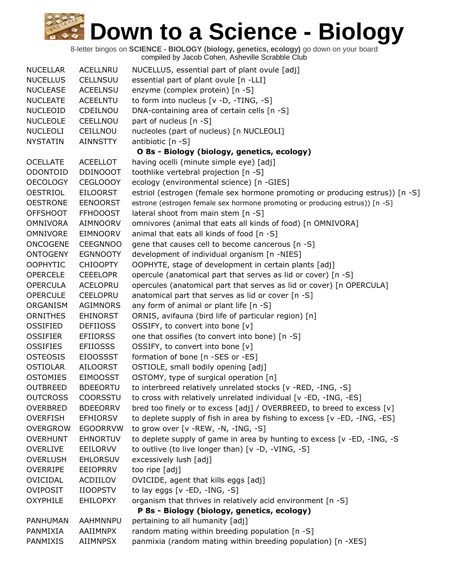| <b>NUCELLAR</b> | ACELLNRU        | NUCELLUS, essential part of plant ovule [adj]                                |
|-----------------|-----------------|------------------------------------------------------------------------------|
| <b>NUCELLUS</b> | <b>CELLNSUU</b> | essential part of plant ovule [n -LLI]                                       |
| <b>NUCLEASE</b> | <b>ACEELNSU</b> | enzyme (complex protein) [n -S]                                              |
| <b>NUCLEATE</b> | <b>ACEELNTU</b> | to form into nucleus [v -D, -TING, -S]                                       |
| <b>NUCLEOID</b> | CDEILNOU        | DNA-containing area of certain cells [n -S]                                  |
| <b>NUCLEOLE</b> | CEELLNOU        | part of nucleus [n -S]                                                       |
| <b>NUCLEOLI</b> | CEILLNOU        | nucleoles (part of nucleus) [n NUCLEOLI]                                     |
| <b>NYSTATIN</b> | <b>AINNSTTY</b> | antibiotic [n -S]                                                            |
|                 |                 | O 8s - Biology (biology, genetics, ecology)                                  |
| <b>OCELLATE</b> | <b>ACEELLOT</b> | having ocelli (minute simple eye) [adj]                                      |
| ODONTOID        | <b>DDINOOOT</b> | toothlike vertebral projection [n -S]                                        |
| <b>OECOLOGY</b> | <b>CEGLOOOY</b> | ecology (environmental science) [n -GIES]                                    |
| <b>OESTRIOL</b> | <b>EILOORST</b> | estriol (estrogen (female sex hormone promoting or producing estrus)) [n -S] |
| <b>OESTRONE</b> | <b>EENOORST</b> | estrone (estrogen female sex hormone promoting or producing estrus)) [n -S]  |
| <b>OFFSHOOT</b> | <b>FFHOOOST</b> | lateral shoot from main stem [n -S]                                          |
| <b>OMNIVORA</b> | AIMNOORV        | omnivores (animal that eats all kinds of food) [n OMNIVORA]                  |
| <b>OMNIVORE</b> | <b>EIMNOORV</b> | animal that eats all kinds of food [n -S]                                    |
| <b>ONCOGENE</b> | <b>CEEGNNOO</b> | gene that causes cell to become cancerous [n -S]                             |
| <b>ONTOGENY</b> | <b>EGNNOOTY</b> | development of individual organism [n -NIES]                                 |
| <b>OOPHYTIC</b> | <b>CHIOOPTY</b> | OOPHYTE, stage of development in certain plants [adj]                        |
| <b>OPERCELE</b> | <b>CEEELOPR</b> | opercule (anatomical part that serves as lid or cover) [n -S]                |
| <b>OPERCULA</b> | ACELOPRU        | opercules (anatomical part that serves as lid or cover) [n OPERCULA]         |
| <b>OPERCULE</b> | <b>CEELOPRU</b> | anatomical part that serves as lid or cover [n -S]                           |
| <b>ORGANISM</b> | AGIMNORS        | any form of animal or plant life [n -S]                                      |
| <b>ORNITHES</b> | <b>EHINORST</b> | ORNIS, avifauna (bird life of particular region) [n]                         |
| <b>OSSIFIED</b> | <b>DEFIIOSS</b> | OSSIFY, to convert into bone [v]                                             |
| <b>OSSIFIER</b> | <b>EFIIORSS</b> | one that ossifies (to convert into bone) [n -S]                              |
| <b>OSSIFIES</b> | <b>EFIIOSSS</b> | OSSIFY, to convert into bone [v]                                             |
| <b>OSTEOSIS</b> | <b>EIOOSSST</b> | formation of bone [n -SES or -ES]                                            |
| <b>OSTIOLAR</b> | <b>AILOORST</b> | OSTIOLE, small bodily opening [adj]                                          |
| <b>OSTOMIES</b> | <b>EIMOOSST</b> | OSTOMY, type of surgical operation [n]                                       |
| <b>OUTBREED</b> | <b>BDEEORTU</b> | to interbreed relatively unrelated stocks [v -RED, -ING, -S]                 |
| <b>OUTCROSS</b> | COORSSTU        | to cross with relatively unrelated individual [v -ED, -ING, -ES]             |
| <b>OVERBRED</b> | <b>BDEEORRV</b> | bred too finely or to excess [adj] / OVERBREED, to breed to excess [v]       |
| <b>OVERFISH</b> | <b>EFHIORSV</b> | to deplete supply of fish in area by fishing to excess [v -ED, -ING, -ES]    |
| <b>OVERGROW</b> | <b>EGOORRVW</b> | to grow over [v -REW, -N, -ING, -S]                                          |
| <b>OVERHUNT</b> | <b>EHNORTUV</b> | to deplete supply of game in area by hunting to excess [v -ED, -ING, -S      |
| <b>OVERLIVE</b> | EEILORVV        | to outlive (to live longer than) [v -D, -VING, -S]                           |
| <b>OVERLUSH</b> | <b>EHLORSUV</b> | excessively lush [adj]                                                       |
| <b>OVERRIPE</b> | <b>EEIOPRRV</b> | too ripe [adj]                                                               |
| OVICIDAL        | <b>ACDIILOV</b> | OVICIDE, agent that kills eggs [adj]                                         |
| <b>OVIPOSIT</b> | <b>IIOOPSTV</b> | to lay eggs $[v - ED, -ING, -S]$                                             |
| <b>OXYPHILE</b> | <b>EHILOPXY</b> | organism that thrives in relatively acid environment [n -S]                  |
|                 |                 | P 8s - Biology (biology, genetics, ecology)                                  |
| PANHUMAN        | AAHMNNPU        | pertaining to all humanity [adj]                                             |
| PANMIXIA        | AAIIMNPX        | random mating within breeding population [n -S]                              |
| PANMIXIS        | AIIMNPSX        | panmixia (random mating within breeding population) [n -XES]                 |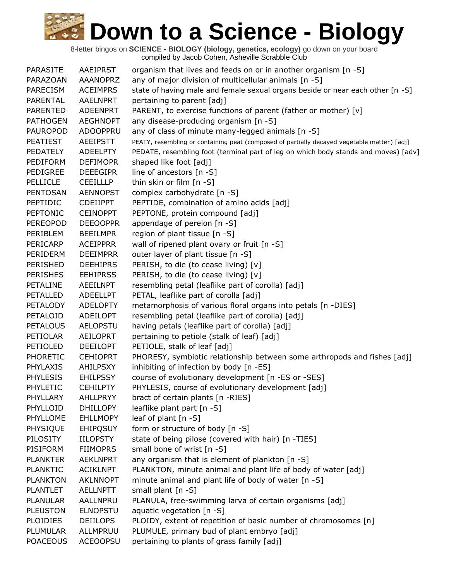| <b>PARASITE</b> | <b>AAEIPRST</b> | organism that lives and feeds on or in another organism [n -S]                              |
|-----------------|-----------------|---------------------------------------------------------------------------------------------|
| PARAZOAN        | <b>AAANOPRZ</b> | any of major division of multicellular animals [n -S]                                       |
| PARECISM        | <b>ACEIMPRS</b> | state of having male and female sexual organs beside or near each other [n -S]              |
| PARENTAL        | AAELNPRT        | pertaining to parent [adj]                                                                  |
| <b>PARENTED</b> | <b>ADEENPRT</b> | PARENT, to exercise functions of parent (father or mother) [v]                              |
| <b>PATHOGEN</b> | <b>AEGHNOPT</b> | any disease-producing organism [n -S]                                                       |
| <b>PAUROPOD</b> | <b>ADOOPPRU</b> | any of class of minute many-legged animals [n -S]                                           |
| <b>PEATIEST</b> | <b>AEEIPSTT</b> | PEATY, resembling or containing peat (composed of partially decayed vegetable matter) [adj] |
| PEDATELY        | <b>ADEELPTY</b> | PEDATE, resembling foot (terminal part of leg on which body stands and moves) [adv]         |
| PEDIFORM        | <b>DEFIMOPR</b> | shaped like foot [adj]                                                                      |
| <b>PEDIGREE</b> | <b>DEEEGIPR</b> | line of ancestors [n -S]                                                                    |
| <b>PELLICLE</b> | <b>CEEILLLP</b> | thin skin or film [n -S]                                                                    |
| <b>PENTOSAN</b> | <b>AENNOPST</b> | complex carbohydrate [n -S]                                                                 |
| PEPTIDIC        | <b>CDEIIPPT</b> | PEPTIDE, combination of amino acids [adj]                                                   |
| <b>PEPTONIC</b> | <b>CEINOPPT</b> | PEPTONE, protein compound [adj]                                                             |
| <b>PEREOPOD</b> | <b>DEEOOPPR</b> | appendage of pereion [n -S]                                                                 |
| PERIBLEM        | <b>BEEILMPR</b> | region of plant tissue [n -S]                                                               |
| PERICARP        | <b>ACEIPPRR</b> | wall of ripened plant ovary or fruit [n -S]                                                 |
| PERIDERM        | <b>DEEIMPRR</b> | outer layer of plant tissue [n -S]                                                          |
| <b>PERISHED</b> | <b>DEEHIPRS</b> | PERISH, to die (to cease living) [v]                                                        |
| <b>PERISHES</b> | <b>EEHIPRSS</b> | PERISH, to die (to cease living) [v]                                                        |
| PETALINE        | AEEILNPT        | resembling petal (leaflike part of corolla) [adj]                                           |
| <b>PETALLED</b> | <b>ADEELLPT</b> | PETAL, leaflike part of corolla [adj]                                                       |
| <b>PETALODY</b> | <b>ADELOPTY</b> | metamorphosis of various floral organs into petals [n -DIES]                                |
| PETALOID        | ADEILOPT        | resembling petal (leaflike part of corolla) [adj]                                           |
| <b>PETALOUS</b> | <b>AELOPSTU</b> | having petals (leaflike part of corolla) [adj]                                              |
| PETIOLAR        | AEILOPRT        | pertaining to petiole (stalk of leaf) [adj]                                                 |
| PETIOLED        | <b>DEEILOPT</b> | PETIOLE, stalk of leaf [adj]                                                                |
| <b>PHORETIC</b> | <b>CEHIOPRT</b> | PHORESY, symbiotic relationship between some arthropods and fishes [adj]                    |
| <b>PHYLAXIS</b> | AHILPSXY        | inhibiting of infection by body [n -ES]                                                     |
| <b>PHYLESIS</b> | <b>EHILPSSY</b> | course of evolutionary development [n -ES or -SES]                                          |
| PHYLETIC        | <b>CEHILPTY</b> | PHYLESIS, course of evolutionary development [adj]                                          |
| PHYLLARY        | <b>AHLLPRYY</b> | bract of certain plants [n -RIES]                                                           |
| PHYLLOID        | <b>DHILLOPY</b> | leaflike plant part [n -S]                                                                  |
| PHYLLOME        | <b>EHLLMOPY</b> | leaf of plant $[n - S]$                                                                     |
| PHYSIQUE        | <b>EHIPQSUY</b> | form or structure of body [n -S]                                                            |
| PILOSITY        | <b>IILOPSTY</b> | state of being pilose (covered with hair) [n -TIES]                                         |
| PISIFORM        | <b>FIIMOPRS</b> | small bone of wrist [n -S]                                                                  |
| <b>PLANKTER</b> | <b>AEKLNPRT</b> | any organism that is element of plankton [n -S]                                             |
| <b>PLANKTIC</b> | <b>ACIKLNPT</b> | PLANKTON, minute animal and plant life of body of water [adj]                               |
| <b>PLANKTON</b> | <b>AKLNNOPT</b> | minute animal and plant life of body of water [n -S]                                        |
| <b>PLANTLET</b> | <b>AELLNPTT</b> | small plant [n -S]                                                                          |
| PLANULAR        | AALLNPRU        | PLANULA, free-swimming larva of certain organisms [adj]                                     |
| <b>PLEUSTON</b> | <b>ELNOPSTU</b> | aquatic vegetation [n -S]                                                                   |
| <b>PLOIDIES</b> | <b>DEIILOPS</b> | PLOIDY, extent of repetition of basic number of chromosomes [n]                             |
| <b>PLUMULAR</b> | ALLMPRUU        | PLUMULE, primary bud of plant embryo [adj]                                                  |
| <b>POACEOUS</b> | <b>ACEOOPSU</b> | pertaining to plants of grass family [adj]                                                  |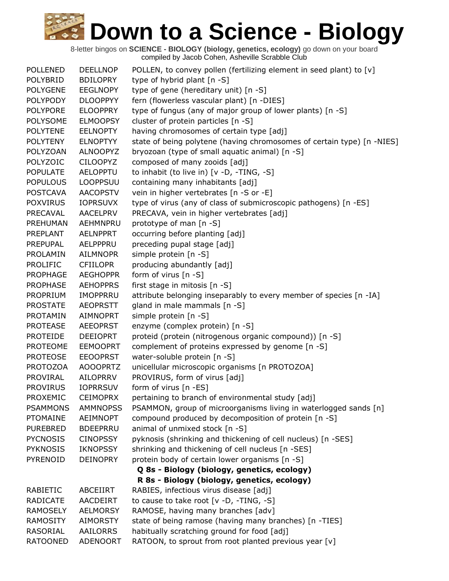| <b>POLLENED</b> | <b>DEELLNOP</b> | POLLEN, to convey pollen (fertilizing element in seed plant) to [v]    |
|-----------------|-----------------|------------------------------------------------------------------------|
| <b>POLYBRID</b> | <b>BDILOPRY</b> | type of hybrid plant [n -S]                                            |
| <b>POLYGENE</b> | <b>EEGLNOPY</b> | type of gene (hereditary unit) [n -S]                                  |
| <b>POLYPODY</b> | <b>DLOOPPYY</b> | fern (flowerless vascular plant) [n -DIES]                             |
| <b>POLYPORE</b> | <b>ELOOPPRY</b> | type of fungus (any of major group of lower plants) [n -S]             |
| <b>POLYSOME</b> | <b>ELMOOPSY</b> | cluster of protein particles [n -S]                                    |
| <b>POLYTENE</b> | <b>EELNOPTY</b> | having chromosomes of certain type [adj]                               |
| <b>POLYTENY</b> | <b>ELNOPTYY</b> | state of being polytene (having chromosomes of certain type) [n -NIES] |
| POLYZOAN        | <b>ALNOOPYZ</b> | bryozoan (type of small aquatic animal) [n -S]                         |
| <b>POLYZOIC</b> | <b>CILOOPYZ</b> | composed of many zooids [adj]                                          |
| <b>POPULATE</b> | <b>AELOPPTU</b> | to inhabit (to live in) [v -D, -TING, -S]                              |
| <b>POPULOUS</b> | LOOPPSUU        | containing many inhabitants [adj]                                      |
| <b>POSTCAVA</b> | <b>AACOPSTV</b> | vein in higher vertebrates [n -S or -E]                                |
| <b>POXVIRUS</b> | <b>IOPRSUVX</b> | type of virus (any of class of submicroscopic pathogens) [n -ES]       |
| PRECAVAL        | <b>AACELPRV</b> | PRECAVA, vein in higher vertebrates [adj]                              |
| PREHUMAN        | AEHMNPRU        | prototype of man [n -S]                                                |
| PREPLANT        | <b>AELNPPRT</b> | occurring before planting [adj]                                        |
| <b>PREPUPAL</b> | AELPPPRU        | preceding pupal stage [adj]                                            |
| <b>PROLAMIN</b> | <b>AILMNOPR</b> | simple protein [n -S]                                                  |
| <b>PROLIFIC</b> | <b>CFIILOPR</b> | producing abundantly [adj]                                             |
| <b>PROPHAGE</b> | <b>AEGHOPPR</b> | form of virus [n -S]                                                   |
| <b>PROPHASE</b> | <b>AEHOPPRS</b> | first stage in mitosis [n -S]                                          |
| PROPRIUM        | IMOPPRRU        | attribute belonging inseparably to every member of species [n -IA]     |
| <b>PROSTATE</b> | <b>AEOPRSTT</b> | gland in male mammals [n -S]                                           |
| <b>PROTAMIN</b> | <b>AIMNOPRT</b> | simple protein [n -S]                                                  |
| <b>PROTEASE</b> | <b>AEEOPRST</b> | enzyme (complex protein) [n -S]                                        |
| <b>PROTEIDE</b> | <b>DEEIOPRT</b> | proteid (protein (nitrogenous organic compound)) [n -S]                |
| <b>PROTEOME</b> | <b>EEMOOPRT</b> | complement of proteins expressed by genome [n -S]                      |
| <b>PROTEOSE</b> | <b>EEOOPRST</b> | water-soluble protein [n -S]                                           |
| <b>PROTOZOA</b> | <b>AOOOPRTZ</b> | unicellular microscopic organisms [n PROTOZOA]                         |
| PROVIRAL        | <b>AILOPRRV</b> | PROVIRUS, form of virus [adj]                                          |
| <b>PROVIRUS</b> | <b>IOPRRSUV</b> | form of virus [n -ES]                                                  |
| PROXEMIC        | <b>CEIMOPRX</b> | pertaining to branch of environmental study [adj]                      |
| <b>PSAMMONS</b> | <b>AMMNOPSS</b> | PSAMMON, group of microorganisms living in waterlogged sands [n]       |
| <b>PTOMAINE</b> | AEIMNOPT        | compound produced by decomposition of protein [n -S]                   |
| <b>PUREBRED</b> | <b>BDEEPRRU</b> | animal of unmixed stock [n -S]                                         |
| <b>PYCNOSIS</b> | <b>CINOPSSY</b> | pyknosis (shrinking and thickening of cell nucleus) [n -SES]           |
| <b>PYKNOSIS</b> | <b>IKNOPSSY</b> | shrinking and thickening of cell nucleus [n -SES]                      |
| <b>PYRENOID</b> | <b>DEINOPRY</b> | protein body of certain lower organisms [n -S]                         |
|                 |                 | Q 8s - Biology (biology, genetics, ecology)                            |
|                 |                 | R 8s - Biology (biology, genetics, ecology)                            |
| <b>RABIETIC</b> | ABCEIIRT        | RABIES, infectious virus disease [adj]                                 |
| <b>RADICATE</b> | AACDEIRT        | to cause to take root $[v -D, -TING, -S]$                              |
| <b>RAMOSELY</b> | <b>AELMORSY</b> | RAMOSE, having many branches [adv]                                     |
| <b>RAMOSITY</b> | <b>AIMORSTY</b> | state of being ramose (having many branches) [n -TIES]                 |
| RASORIAL        | AAILORRS        | habitually scratching ground for food [adj]                            |
| <b>RATOONED</b> | ADENOORT        | RATOON, to sprout from root planted previous year [v]                  |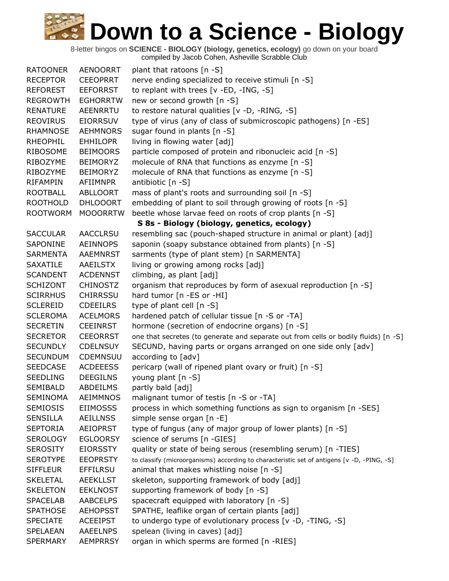| <b>RATOONER</b> | AENOORRT        | plant that ratoons [n -S]                                                                  |
|-----------------|-----------------|--------------------------------------------------------------------------------------------|
| <b>RECEPTOR</b> | <b>CEEOPRRT</b> | nerve ending specialized to receive stimuli [n -S]                                         |
| <b>REFOREST</b> | <b>EEFORRST</b> | to replant with trees [v -ED, -ING, -S]                                                    |
| <b>REGROWTH</b> | <b>EGHORRTW</b> | new or second growth [n -S]                                                                |
| <b>RENATURE</b> | AEENRRTU        | to restore natural qualities [v -D, -RING, -S]                                             |
| <b>REOVIRUS</b> | <b>EIORRSUV</b> | type of virus (any of class of submicroscopic pathogens) [n -ES]                           |
| <b>RHAMNOSE</b> | <b>AEHMNORS</b> | sugar found in plants [n -S]                                                               |
| <b>RHEOPHIL</b> | <b>EHHILOPR</b> | living in flowing water [adj]                                                              |
| RIBOSOME        | <b>BEIMOORS</b> | particle composed of protein and ribonucleic acid [n -S]                                   |
| RIBOZYME        | <b>BEIMORYZ</b> | molecule of RNA that functions as enzyme [n -S]                                            |
| RIBOZYME        | <b>BEIMORYZ</b> | molecule of RNA that functions as enzyme [n -S]                                            |
| RIFAMPIN        | AFIIMNPR        | antibiotic [n -S]                                                                          |
| ROOTBALL        | ABLLOORT        | mass of plant's roots and surrounding soil [n -S]                                          |
| <b>ROOTHOLD</b> | <b>DHLOOORT</b> | embedding of plant to soil through growing of roots [n -S]                                 |
| <b>ROOTWORM</b> | <b>MOOORRTW</b> | beetle whose larvae feed on roots of crop plants [n -S]                                    |
|                 |                 | S 8s - Biology (biology, genetics, ecology)                                                |
| <b>SACCULAR</b> | <b>AACCLRSU</b> | resembling sac (pouch-shaped structure in animal or plant) [adj]                           |
| SAPONINE        | AEINNOPS        | saponin (soapy substance obtained from plants) [n -S]                                      |
| <b>SARMENTA</b> | <b>AAEMNRST</b> | sarments (type of plant stem) [n SARMENTA]                                                 |
| <b>SAXATILE</b> | AAEILSTX        | living or growing among rocks [adj]                                                        |
| <b>SCANDENT</b> | <b>ACDENNST</b> | climbing, as plant [adj]                                                                   |
| <b>SCHIZONT</b> | <b>CHINOSTZ</b> | organism that reproduces by form of asexual reproduction [n -S]                            |
| <b>SCIRRHUS</b> | <b>CHIRRSSU</b> | hard tumor [n -ES or -HI]                                                                  |
| <b>SCLEREID</b> | <b>CDEEILRS</b> | type of plant cell [n -S]                                                                  |
| <b>SCLEROMA</b> | <b>ACELMORS</b> | hardened patch of cellular tissue [n -S or -TA]                                            |
| <b>SECRETIN</b> | <b>CEEINRST</b> | hormone (secretion of endocrine organs) [n -S]                                             |
| <b>SECRETOR</b> | <b>CEEORRST</b> | one that secretes (to generate and separate out from cells or bodily fluids) [n -S]        |
| <b>SECUNDLY</b> | <b>CDELNSUY</b> | SECUND, having parts or organs arranged on one side only [adv]                             |
| <b>SECUNDUM</b> | CDEMNSUU        | according to [adv]                                                                         |
| <b>SEEDCASE</b> | <b>ACDEEESS</b> | pericarp (wall of ripened plant ovary or fruit) [n -S]                                     |
| <b>SEEDLING</b> | <b>DEEGILNS</b> | young plant [n -S]                                                                         |
| SEMIBALD        | ABDEILMS        | partly bald [adj]                                                                          |
| <b>SEMINOMA</b> | AEIMMNOS        | malignant tumor of testis [n -S or -TA]                                                    |
| SEMIOSIS        | <b>EIIMOSSS</b> | process in which something functions as sign to organism [n -SES]                          |
| <b>SENSILLA</b> | <b>AEILLNSS</b> | simple sense organ [n -E]                                                                  |
| <b>SEPTORIA</b> | <b>AEIOPRST</b> | type of fungus (any of major group of lower plants) [n -S]                                 |
| <b>SEROLOGY</b> | <b>EGLOORSY</b> | science of serums [n -GIES]                                                                |
| <b>SEROSITY</b> | <b>EIORSSTY</b> | quality or state of being serous (resembling serum) [n -TIES]                              |
| <b>SEROTYPE</b> | <b>EEOPRSTY</b> | to classify (microorganisms) according to characteristic set of antigens [v -D, -PING, -S] |
| <b>SIFFLEUR</b> | <b>EFFILRSU</b> | animal that makes whistling noise [n -S]                                                   |
| <b>SKELETAL</b> | <b>AEEKLLST</b> | skeleton, supporting framework of body [adj]                                               |
| <b>SKELETON</b> | <b>EEKLNOST</b> | supporting framework of body [n -S]                                                        |
| <b>SPACELAB</b> | <b>AABCELPS</b> | spacecraft equipped with laboratory [n -S]                                                 |
| <b>SPATHOSE</b> | <b>AEHOPSST</b> | SPATHE, leaflike organ of certain plants [adj]                                             |
| <b>SPECIATE</b> | <b>ACEEIPST</b> | to undergo type of evolutionary process [v -D, -TING, -S]                                  |
| SPELAEAN        | <b>AAEELNPS</b> | spelean (living in caves) [adj]                                                            |
| SPERMARY        | <b>AEMPRRSY</b> | organ in which sperms are formed [n -RIES]                                                 |
|                 |                 |                                                                                            |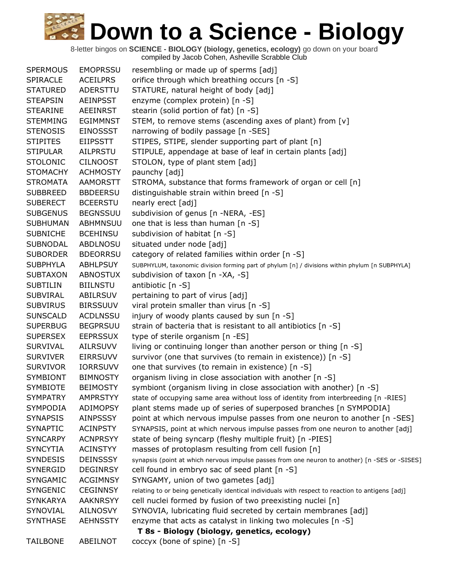| <b>SPERMOUS</b> | <b>EMOPRSSU</b>                             | resembling or made up of sperms [adj]                                                             |  |  |
|-----------------|---------------------------------------------|---------------------------------------------------------------------------------------------------|--|--|
| <b>SPIRACLE</b> | <b>ACEILPRS</b>                             | orifice through which breathing occurs [n -S]                                                     |  |  |
| <b>STATURED</b> | ADERSTTU                                    | STATURE, natural height of body [adj]                                                             |  |  |
| <b>STEAPSIN</b> | <b>AEINPSST</b>                             | enzyme (complex protein) [n -S]                                                                   |  |  |
| <b>STEARINE</b> | <b>AEEINRST</b>                             | stearin (solid portion of fat) [n -S]                                                             |  |  |
| <b>STEMMING</b> | <b>EGIMMNST</b>                             | STEM, to remove stems (ascending axes of plant) from [v]                                          |  |  |
| <b>STENOSIS</b> | <b>EINOSSST</b>                             | narrowing of bodily passage [n -SES]                                                              |  |  |
| <b>STIPITES</b> | <b>EIIPSSTT</b>                             | STIPES, STIPE, slender supporting part of plant [n]                                               |  |  |
| <b>STIPULAR</b> | <b>AILPRSTU</b>                             | STIPULE, appendage at base of leaf in certain plants [adj]                                        |  |  |
| <b>STOLONIC</b> | <b>CILNOOST</b>                             | STOLON, type of plant stem [adj]                                                                  |  |  |
| <b>STOMACHY</b> | <b>ACHMOSTY</b>                             | paunchy [adj]                                                                                     |  |  |
| <b>STROMATA</b> | <b>AAMORSTT</b>                             | STROMA, substance that forms framework of organ or cell [n]                                       |  |  |
| <b>SUBBREED</b> | <b>BBDEERSU</b>                             | distinguishable strain within breed [n -S]                                                        |  |  |
| <b>SUBERECT</b> | <b>BCEERSTU</b>                             | nearly erect [adj]                                                                                |  |  |
| <b>SUBGENUS</b> | <b>BEGNSSUU</b>                             | subdivision of genus [n -NERA, -ES]                                                               |  |  |
| <b>SUBHUMAN</b> | <b>ABHMNSUU</b>                             | one that is less than human [n -S]                                                                |  |  |
| <b>SUBNICHE</b> | <b>BCEHINSU</b>                             | subdivision of habitat [n -S]                                                                     |  |  |
| <b>SUBNODAL</b> | <b>ABDLNOSU</b>                             | situated under node [adj]                                                                         |  |  |
| <b>SUBORDER</b> | <b>BDEORRSU</b>                             | category of related families within order [n -S]                                                  |  |  |
| <b>SUBPHYLA</b> | <b>ABHLPSUY</b>                             | SUBPHYLUM, taxonomic division forming part of phylum [n] / divisions within phylum [n SUBPHYLA]   |  |  |
| <b>SUBTAXON</b> | <b>ABNOSTUX</b>                             | subdivision of taxon [n -XA, -S]                                                                  |  |  |
| <b>SUBTILIN</b> | <b>BIILNSTU</b>                             | antibiotic [n -S]                                                                                 |  |  |
| <b>SUBVIRAL</b> | ABILRSUV                                    | pertaining to part of virus [adj]                                                                 |  |  |
| <b>SUBVIRUS</b> | <b>BIRSSUUV</b>                             | viral protein smaller than virus [n -S]                                                           |  |  |
| <b>SUNSCALD</b> | <b>ACDLNSSU</b>                             | injury of woody plants caused by sun [n -S]                                                       |  |  |
| <b>SUPERBUG</b> | <b>BEGPRSUU</b>                             | strain of bacteria that is resistant to all antibiotics [n -S]                                    |  |  |
| <b>SUPERSEX</b> | <b>EEPRSSUX</b>                             | type of sterile organism [n -ES]                                                                  |  |  |
| <b>SURVIVAL</b> | <b>AILRSUVV</b>                             | living or continuing longer than another person or thing [n -S]                                   |  |  |
| <b>SURVIVER</b> | <b>EIRRSUVV</b>                             | survivor (one that survives (to remain in existence)) [n -S]                                      |  |  |
| <b>SURVIVOR</b> | <b>IORRSUVV</b>                             | one that survives (to remain in existence) [n -S]                                                 |  |  |
| <b>SYMBIONT</b> | <b>BIMNOSTY</b>                             | organism living in close association with another [n -S]                                          |  |  |
| <b>SYMBIOTE</b> | <b>BEIMOSTY</b>                             | symbiont (organism living in close association with another) [n -S]                               |  |  |
| <b>SYMPATRY</b> | <b>AMPRSTYY</b>                             | state of occupying same area without loss of identity from interbreeding [n -RIES]                |  |  |
| <b>SYMPODIA</b> | <b>ADIMOPSY</b>                             | plant stems made up of series of superposed branches [n SYMPODIA]                                 |  |  |
| <b>SYNAPSIS</b> | <b>AINPSSSY</b>                             | point at which nervous impulse passes from one neuron to another [n -SES]                         |  |  |
| <b>SYNAPTIC</b> | <b>ACINPSTY</b>                             | SYNAPSIS, point at which nervous impulse passes from one neuron to another [adj]                  |  |  |
| <b>SYNCARPY</b> | <b>ACNPRSYY</b>                             | state of being syncarp (fleshy multiple fruit) [n -PIES]                                          |  |  |
| <b>SYNCYTIA</b> | <b>ACINSTYY</b>                             | masses of protoplasm resulting from cell fusion [n]                                               |  |  |
| <b>SYNDESIS</b> | <b>DEINSSSY</b>                             | synapsis (point at which nervous impulse passes from one neuron to another) [n -SES or -SISES]    |  |  |
| <b>SYNERGID</b> | <b>DEGINRSY</b>                             | cell found in embryo sac of seed plant [n -S]                                                     |  |  |
| SYNGAMIC        | <b>ACGIMNSY</b>                             | SYNGAMY, union of two gametes [adj]                                                               |  |  |
| <b>SYNGENIC</b> | <b>CEGINNSY</b>                             | relating to or being genetically identical individuals with respect to reaction to antigens [adj] |  |  |
| <b>SYNKARYA</b> | <b>AAKNRSYY</b>                             | cell nuclei formed by fusion of two preexisting nuclei [n]                                        |  |  |
| SYNOVIAL        | <b>AILNOSVY</b>                             | SYNOVIA, lubricating fluid secreted by certain membranes [adj]                                    |  |  |
| <b>SYNTHASE</b> | <b>AEHNSSTY</b>                             | enzyme that acts as catalyst in linking two molecules [n -S]                                      |  |  |
|                 | T 8s - Biology (biology, genetics, ecology) |                                                                                                   |  |  |
| TAILBONE        | ABEILNOT                                    | coccyx (bone of spine) [n -S]                                                                     |  |  |
|                 |                                             |                                                                                                   |  |  |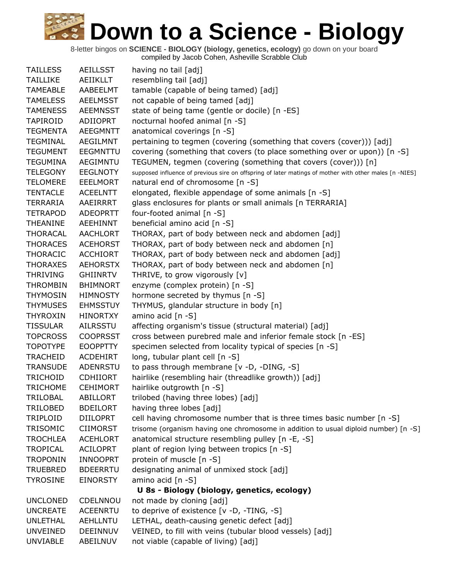| <b>TAILLESS</b> | <b>AEILLSST</b> | having no tail [adj]                                                                                   |
|-----------------|-----------------|--------------------------------------------------------------------------------------------------------|
| <b>TAILLIKE</b> | <b>AEIIKLLT</b> | resembling tail [adj]                                                                                  |
| <b>TAMEABLE</b> | AABEELMT        | tamable (capable of being tamed) [adj]                                                                 |
| <b>TAMELESS</b> | <b>AEELMSST</b> | not capable of being tamed [adj]                                                                       |
| <b>TAMENESS</b> | <b>AEEMNSST</b> | state of being tame (gentle or docile) [n -ES]                                                         |
| TAPIROID        | ADIIOPRT        | nocturnal hoofed animal [n -S]                                                                         |
| <b>TEGMENTA</b> | <b>AEEGMNTT</b> | anatomical coverings [n -S]                                                                            |
| <b>TEGMINAL</b> | AEGILMNT        | pertaining to tegmen (covering (something that covers (cover))) [adj]                                  |
| <b>TEGUMENT</b> | <b>EEGMNTTU</b> | covering (something that covers (to place something over or upon)) [n -S]                              |
| <b>TEGUMINA</b> | AEGIMNTU        | TEGUMEN, tegmen (covering (something that covers (cover))) [n]                                         |
| <b>TELEGONY</b> | <b>EEGLNOTY</b> | supposed influence of previous sire on offspring of later matings of mother with other males [n -NIES] |
| <b>TELOMERE</b> | <b>EEELMORT</b> | natural end of chromosome [n -S]                                                                       |
| <b>TENTACLE</b> | <b>ACEELNTT</b> | elongated, flexible appendage of some animals [n -S]                                                   |
| TERRARIA        | AAEIRRRT        | glass enclosures for plants or small animals [n TERRARIA]                                              |
| <b>TETRAPOD</b> | <b>ADEOPRTT</b> | four-footed animal [n -S]                                                                              |
| <b>THEANINE</b> | AEEHINNT        | beneficial amino acid [n -S]                                                                           |
| <b>THORACAL</b> | <b>AACHLORT</b> | THORAX, part of body between neck and abdomen [adj]                                                    |
| <b>THORACES</b> | <b>ACEHORST</b> | THORAX, part of body between neck and abdomen [n]                                                      |
| <b>THORACIC</b> | <b>ACCHIORT</b> | THORAX, part of body between neck and abdomen [adj]                                                    |
| <b>THORAXES</b> | <b>AEHORSTX</b> | THORAX, part of body between neck and abdomen [n]                                                      |
| <b>THRIVING</b> | <b>GHIINRTV</b> | THRIVE, to grow vigorously [v]                                                                         |
| <b>THROMBIN</b> | <b>BHIMNORT</b> | enzyme (complex protein) [n -S]                                                                        |
| <b>THYMOSIN</b> | <b>HIMNOSTY</b> | hormone secreted by thymus [n -S]                                                                      |
| <b>THYMUSES</b> | <b>EHMSSTUY</b> | THYMUS, glandular structure in body [n]                                                                |
| <b>THYROXIN</b> | <b>HINORTXY</b> | amino acid [n -S]                                                                                      |
| <b>TISSULAR</b> | <b>AILRSSTU</b> | affecting organism's tissue (structural material) [adj]                                                |
| <b>TOPCROSS</b> | <b>COOPRSST</b> | cross between purebred male and inferior female stock [n -ES]                                          |
| <b>TOPOTYPE</b> | <b>EOOPPTTY</b> | specimen selected from locality typical of species [n -S]                                              |
| <b>TRACHEID</b> | <b>ACDEHIRT</b> | long, tubular plant cell [n -S]                                                                        |
| <b>TRANSUDE</b> | ADENRSTU        | to pass through membrane [v -D, -DING, -S]                                                             |
| <b>TRICHOID</b> | <b>CDHIIORT</b> | hairlike (resembling hair (threadlike growth)) [adj]                                                   |
| <b>TRICHOME</b> | <b>CEHIMORT</b> | hairlike outgrowth [n -S]                                                                              |
| <b>TRILOBAL</b> | ABILLORT        | trilobed (having three lobes) [adj]                                                                    |
| <b>TRILOBED</b> | <b>BDEILORT</b> | having three lobes [adj]                                                                               |
| TRIPLOID        | <b>DIILOPRT</b> | cell having chromosome number that is three times basic number [n -S]                                  |
| TRISOMIC        | <b>CIIMORST</b> | trisome (organism having one chromosome in addition to usual diploid number) [n -S]                    |
| <b>TROCHLEA</b> | <b>ACEHLORT</b> | anatomical structure resembling pulley [n -E, -S]                                                      |
| <b>TROPICAL</b> | <b>ACILOPRT</b> | plant of region lying between tropics [n -S]                                                           |
| <b>TROPONIN</b> | <b>INNOOPRT</b> | protein of muscle [n -S]                                                                               |
| <b>TRUEBRED</b> | <b>BDEERRTU</b> | designating animal of unmixed stock [adj]                                                              |
| <b>TYROSINE</b> | <b>EINORSTY</b> | amino acid [n -S]                                                                                      |
|                 |                 | U 8s - Biology (biology, genetics, ecology)                                                            |
| <b>UNCLONED</b> | CDELNNOU        | not made by cloning [adj]                                                                              |
| <b>UNCREATE</b> | <b>ACEENRTU</b> | to deprive of existence [v -D, -TING, -S]                                                              |
| <b>UNLETHAL</b> | <b>AEHLLNTU</b> | LETHAL, death-causing genetic defect [adj]                                                             |
| <b>UNVEINED</b> | DEEINNUV        | VEINED, to fill with veins (tubular blood vessels) [adj]                                               |
| <b>UNVIABLE</b> | ABEILNUV        | not viable (capable of living) [adj]                                                                   |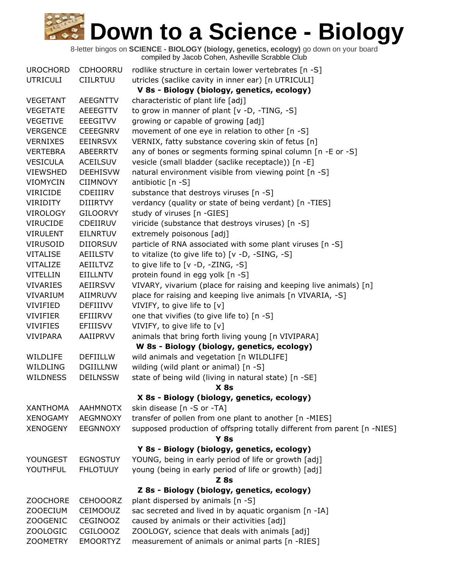| <b>UROCHORD</b> | <b>CDHOORRU</b> | rodlike structure in certain lower vertebrates [n -S]                    |
|-----------------|-----------------|--------------------------------------------------------------------------|
| <b>UTRICULI</b> | <b>CIILRTUU</b> | utricles (saclike cavity in inner ear) [n UTRICULI]                      |
|                 |                 | V 8s - Biology (biology, genetics, ecology)                              |
| <b>VEGETANT</b> | <b>AEEGNTTV</b> | characteristic of plant life [adj]                                       |
| <b>VEGETATE</b> | AEEEGTTV        | to grow in manner of plant $[v -D, -TING, -S]$                           |
| <b>VEGETIVE</b> | EEEGITVV        | growing or capable of growing [adj]                                      |
| <b>VERGENCE</b> | <b>CEEEGNRV</b> | movement of one eye in relation to other [n -S]                          |
| <b>VERNIXES</b> | <b>EEINRSVX</b> | VERNIX, fatty substance covering skin of fetus [n]                       |
| <b>VERTEBRA</b> | ABEERRTV        | any of bones or segments forming spinal column [n -E or -S]              |
| <b>VESICULA</b> | <b>ACEILSUV</b> | vesicle (small bladder (saclike receptacle)) [n -E]                      |
| <b>VIEWSHED</b> | <b>DEEHISVW</b> | natural environment visible from viewing point [n -S]                    |
| <b>VIOMYCIN</b> | <b>CIIMNOVY</b> | antibiotic [n -S]                                                        |
| <b>VIRICIDE</b> | CDEIIIRV        | substance that destroys viruses [n -S]                                   |
| <b>VIRIDITY</b> | <b>DIIIRTVY</b> | verdancy (quality or state of being verdant) [n -TIES]                   |
| <b>VIROLOGY</b> | <b>GILOORVY</b> | study of viruses [n -GIES]                                               |
| <b>VIRUCIDE</b> | CDEIIRUV        | viricide (substance that destroys viruses) [n -S]                        |
| <b>VIRULENT</b> | <b>EILNRTUV</b> | extremely poisonous [adj]                                                |
| <b>VIRUSOID</b> | <b>DIIORSUV</b> | particle of RNA associated with some plant viruses [n -S]                |
| <b>VITALISE</b> | AEIILSTV        | to vitalize (to give life to) [v -D, -SING, -S]                          |
| VITALIZE        | AEIILTVZ        | to give life to $[v -D, -ZING, -S]$                                      |
| <b>VITELLIN</b> | EIILLNTV        | protein found in egg yolk [n -S]                                         |
| <b>VIVARIES</b> | AEIIRSVV        | VIVARY, vivarium (place for raising and keeping live animals) [n]        |
| <b>VIVARIUM</b> | AIIMRUVV        | place for raising and keeping live animals [n VIVARIA, -S]               |
| <b>VIVIFIED</b> | <b>DEFIIIVV</b> | VIVIFY, to give life to [v]                                              |
| <b>VIVIFIER</b> | EFIIIRVV        | one that vivifies (to give life to) [n -S]                               |
| <b>VIVIFIES</b> | <b>EFIIISVV</b> | VIVIFY, to give life to [v]                                              |
| <b>VIVIPARA</b> | AAIIPRVV        | animals that bring forth living young [n VIVIPARA]                       |
|                 |                 | W 8s - Biology (biology, genetics, ecology)                              |
| WILDLIFE        | <b>DEFIILLW</b> | wild animals and vegetation [n WILDLIFE]                                 |
| <b>WILDLING</b> | <b>DGIILLNW</b> | wilding (wild plant or animal) $[n - S]$                                 |
| <b>WILDNESS</b> | <b>DEILNSSW</b> | state of being wild (living in natural state) [n -SE]                    |
|                 |                 | X 8s                                                                     |
|                 |                 | X 8s - Biology (biology, genetics, ecology)                              |
| <b>XANTHOMA</b> | <b>AAHMNOTX</b> | skin disease [n -S or -TA]                                               |
| <b>XENOGAMY</b> | <b>AEGMNOXY</b> | transfer of pollen from one plant to another [n -MIES]                   |
| <b>XENOGENY</b> | <b>EEGNNOXY</b> | supposed production of offspring totally different from parent [n -NIES] |
|                 |                 | $Y$ 8s                                                                   |
|                 |                 | Y 8s - Biology (biology, genetics, ecology)                              |
| YOUNGEST        | <b>EGNOSTUY</b> | YOUNG, being in early period of life or growth [adj]                     |
| YOUTHFUL        | <b>FHLOTUUY</b> | young (being in early period of life or growth) [adj]                    |
|                 |                 | <b>Z</b> 8s                                                              |
|                 |                 | Z 8s - Biology (biology, genetics, ecology)                              |
| <b>ZOOCHORE</b> | <b>CEHOOORZ</b> | plant dispersed by animals [n -S]                                        |
| <b>ZOOECIUM</b> | CEIMOOUZ        | sac secreted and lived in by aquatic organism [n -IA]                    |
| <b>ZOOGENIC</b> | <b>CEGINOOZ</b> | caused by animals or their activities [adj]                              |
| ZOOLOGIC        | CGILOOOZ        | ZOOLOGY, science that deals with animals [adj]                           |
| <b>ZOOMETRY</b> | <b>EMOORTYZ</b> | measurement of animals or animal parts [n -RIES]                         |